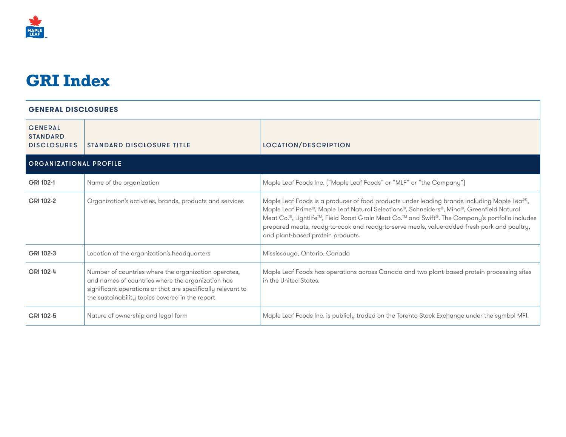

# **GRI Index**

| <b>GENERAL</b><br><b>STANDARD</b><br><b>DISCLOSURES</b> | <b>STANDARD DISCLOSURE TITLE</b>                                                                                                                                                                                            | LOCATION/DESCRIPTION                                                                                                                                                                                                                                                                                                                                                                                                            |
|---------------------------------------------------------|-----------------------------------------------------------------------------------------------------------------------------------------------------------------------------------------------------------------------------|---------------------------------------------------------------------------------------------------------------------------------------------------------------------------------------------------------------------------------------------------------------------------------------------------------------------------------------------------------------------------------------------------------------------------------|
| <b>ORGANIZATIONAL PROFILE</b>                           |                                                                                                                                                                                                                             |                                                                                                                                                                                                                                                                                                                                                                                                                                 |
| GRI 102-1                                               | Name of the organization                                                                                                                                                                                                    | Maple Leaf Foods Inc. ("Maple Leaf Foods" or "MLF" or "the Company")                                                                                                                                                                                                                                                                                                                                                            |
| GRI 102-2                                               | Organization's activities, brands, products and services                                                                                                                                                                    | Maple Leaf Foods is a producer of food products under leading brands including Maple Leaf®,<br>Maple Leaf Prime®, Maple Leaf Natural Selections®, Schneiders®, Mina®, Greenfield Natural<br>Meat Co.®, Lightlife™, Field Roast Grain Meat Co.™ and Swift®. The Company's portfolio includes<br>prepared meats, ready-to-cook and ready-to-serve meals, value-added fresh pork and poultry,<br>and plant-based protein products. |
| GRI 102-3                                               | Location of the organization's headquarters                                                                                                                                                                                 | Mississauga, Ontario, Canada                                                                                                                                                                                                                                                                                                                                                                                                    |
| GRI 102-4                                               | Number of countries where the organization operates,<br>and names of countries where the organization has<br>significant operations or that are specifically relevant to<br>the sustainability topics covered in the report | Maple Leaf Foods has operations across Canada and two plant-based protein processing sites<br>in the United States.                                                                                                                                                                                                                                                                                                             |
| GRI 102-5                                               | Nature of ownership and legal form                                                                                                                                                                                          | Maple Leaf Foods Inc. is publicly traded on the Toronto Stock Exchange under the symbol MFI.                                                                                                                                                                                                                                                                                                                                    |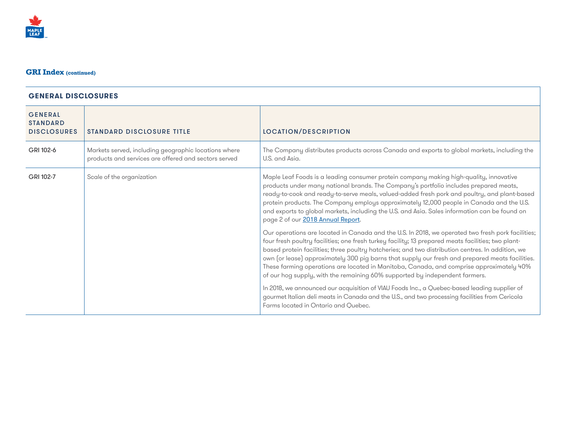

| <b>GENERAL</b><br><b>STANDARD</b><br><b>DISCLOSURES</b> | <b>STANDARD DISCLOSURE TITLE</b>                                                                             | LOCATION/DESCRIPTION                                                                                                                                                                                                                                                                                                                                                                                                                                                                                                                                                                       |
|---------------------------------------------------------|--------------------------------------------------------------------------------------------------------------|--------------------------------------------------------------------------------------------------------------------------------------------------------------------------------------------------------------------------------------------------------------------------------------------------------------------------------------------------------------------------------------------------------------------------------------------------------------------------------------------------------------------------------------------------------------------------------------------|
| GRI 102-6                                               | Markets served, including geographic locations where<br>products and services are offered and sectors served | The Company distributes products across Canada and exports to global markets, including the<br>U.S. and Asia.                                                                                                                                                                                                                                                                                                                                                                                                                                                                              |
| Scale of the organization<br>GRI 102-7                  |                                                                                                              | Maple Leaf Foods is a leading consumer protein company making high-quality, innovative<br>products under many national brands. The Company's portfolio includes prepared meats,<br>ready-to-cook and ready-to-serve meals, valued-added fresh pork and poultry, and plant-based<br>protein products. The Company employs approximately 12,000 people in Canada and the U.S.<br>and exports to global markets, including the U.S. and Asia. Sales information can be found on<br>page 2 of our 2018 Annual Report.                                                                          |
|                                                         |                                                                                                              | Our operations are located in Canada and the U.S. In 2018, we operated two fresh pork facilities;<br>four fresh poultry facilities; one fresh turkey facility; 13 prepared meats facilities; two plant-<br>based protein facilities; three poultry hatcheries; and two distribution centres. In addition, we<br>own (or lease) approximately 300 pig barns that supply our fresh and prepared meats facilities.<br>These farming operations are located in Manitoba, Canada, and comprise approximately 40%<br>of our hog supply, with the remaining 60% supported by independent farmers. |
|                                                         |                                                                                                              | In 2018, we announced our acquisition of VIAU Foods Inc., a Quebec-based leading supplier of<br>gourmet Italian deli meats in Canada and the U.S., and two processing facilities from Cericola<br>Farms located in Ontario and Quebec.                                                                                                                                                                                                                                                                                                                                                     |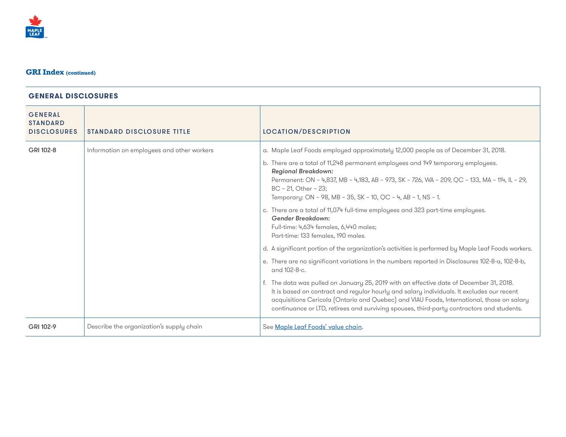

| <b>GENERAL</b><br><b>STANDARD</b><br><b>DISCLOSURES</b> | <b>STANDARD DISCLOSURE TITLE</b>           | LOCATION/DESCRIPTION                                                                                                                                                                                                                                                                                                                                                                                                                                                                                                                                                                                                                                                                                                                                                                                                                                                                                                                                                                                                                                                                                   |
|---------------------------------------------------------|--------------------------------------------|--------------------------------------------------------------------------------------------------------------------------------------------------------------------------------------------------------------------------------------------------------------------------------------------------------------------------------------------------------------------------------------------------------------------------------------------------------------------------------------------------------------------------------------------------------------------------------------------------------------------------------------------------------------------------------------------------------------------------------------------------------------------------------------------------------------------------------------------------------------------------------------------------------------------------------------------------------------------------------------------------------------------------------------------------------------------------------------------------------|
| GRI 102-8                                               | Information on employees and other workers | a. Maple Leaf Foods employed approximately 12,000 people as of December 31, 2018.<br>b. There are a total of 11,248 permanent employees and 149 temporary employees.<br><b>Regional Breakdown:</b><br>Permanent: ON - 4,837, MB - 4,183, AB - 973, SK - 726, WA - 209, OC - 133, MA - 114, IL - 29,<br>$BC - 21$ , Other - 23;<br>Temporary: ON - 98, MB - 35, SK - 10, QC - 4, AB - 1, NS - 1.<br>c. There are a total of 11,074 full-time employees and 323 part-time employees.<br>Gender Breakdown:<br>Full-time: 4,634 females, 6,440 males;<br>Part-time: 133 females, 190 males.<br>d. A significant portion of the organization's activities is performed by Maple Leaf Foods workers.<br>e. There are no significant variations in the numbers reported in Disclosures 102-8-a, 102-8-b,<br>and 102-8-c.<br>f. The data was pulled on January 25, 2019 with an effective date of December 31, 2018.<br>It is based on contract and regular hourly and salary individuals. It excludes our recent<br>acquisitions Cericola (Ontario and Quebec) and VIAU Foods, International, those on salary |
|                                                         |                                            | continuance or LTD, retirees and surviving spouses, third-party contractors and students.                                                                                                                                                                                                                                                                                                                                                                                                                                                                                                                                                                                                                                                                                                                                                                                                                                                                                                                                                                                                              |
| GRI 102-9                                               | Describe the organization's supply chain   | See Maple Leaf Foods' value chain.                                                                                                                                                                                                                                                                                                                                                                                                                                                                                                                                                                                                                                                                                                                                                                                                                                                                                                                                                                                                                                                                     |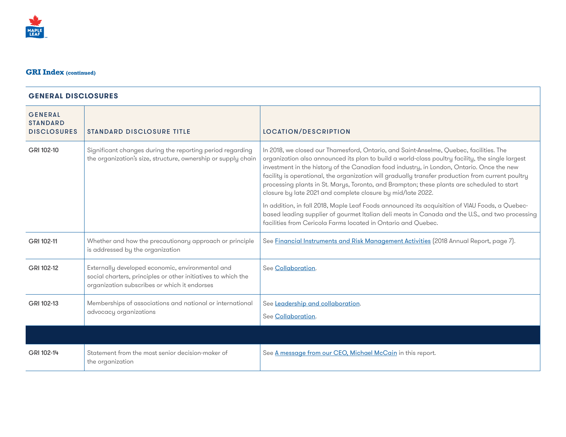

| <b>GENERAL</b><br><b>STANDARD</b><br><b>DISCLOSURES</b> | <b>STANDARD DISCLOSURE TITLE</b>                                                                                                                                  | LOCATION/DESCRIPTION                                                                                                                                                                                                                                                                                                                                                                                                                                                                                                                                                                                                                                                                                                                                                                                                            |
|---------------------------------------------------------|-------------------------------------------------------------------------------------------------------------------------------------------------------------------|---------------------------------------------------------------------------------------------------------------------------------------------------------------------------------------------------------------------------------------------------------------------------------------------------------------------------------------------------------------------------------------------------------------------------------------------------------------------------------------------------------------------------------------------------------------------------------------------------------------------------------------------------------------------------------------------------------------------------------------------------------------------------------------------------------------------------------|
| GRI 102-10                                              | Significant changes during the reporting period regarding<br>the organization's size, structure, ownership or supply chain                                        | In 2018, we closed our Thamesford, Ontario, and Saint-Anselme, Quebec, facilities. The<br>organization also announced its plan to build a world-class poultry facility, the single largest<br>investment in the history of the Canadian food industry, in London, Ontario. Once the new<br>facility is operational, the organization will gradually transfer production from current poultry<br>processing plants in St. Marys, Toronto, and Brampton; these plants are scheduled to start<br>closure by late 2021 and complete closure by mid/late 2022.<br>In addition, in fall 2018, Maple Leaf Foods announced its acquisition of VIAU Foods, a Quebec-<br>based leading supplier of gourmet Italian deli meats in Canada and the U.S., and two processing<br>facilities from Cericola Farms located in Ontario and Ouebec. |
| GRI 102-11                                              | Whether and how the precautionary approach or principle<br>is addressed by the organization                                                                       | See Financial Instruments and Risk Management Activities (2018 Annual Report, page 7).                                                                                                                                                                                                                                                                                                                                                                                                                                                                                                                                                                                                                                                                                                                                          |
| GRI 102-12                                              | Externally developed economic, environmental and<br>social charters, principles or other initiatives to which the<br>organization subscribes or which it endorses | See Collaboration.                                                                                                                                                                                                                                                                                                                                                                                                                                                                                                                                                                                                                                                                                                                                                                                                              |
| GRI 102-13                                              | Memberships of associations and national or international<br>advocacy organizations                                                                               | See Leadership and collaboration.<br>See Collaboration.                                                                                                                                                                                                                                                                                                                                                                                                                                                                                                                                                                                                                                                                                                                                                                         |
|                                                         |                                                                                                                                                                   |                                                                                                                                                                                                                                                                                                                                                                                                                                                                                                                                                                                                                                                                                                                                                                                                                                 |
| GRI 102-14                                              | Statement from the most senior decision-maker of<br>the organization                                                                                              | See A message from our CEO, Michael McCain in this report.                                                                                                                                                                                                                                                                                                                                                                                                                                                                                                                                                                                                                                                                                                                                                                      |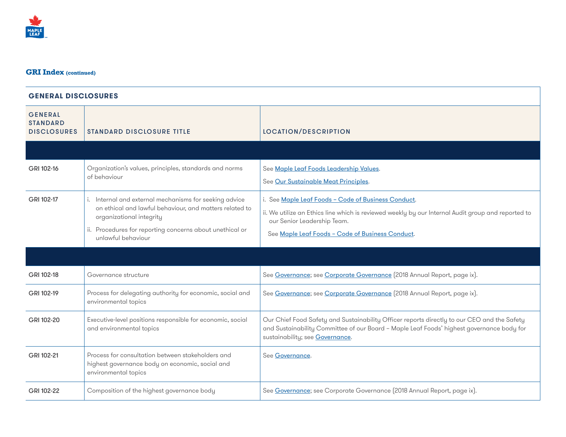| <b>GENERAL</b><br><b>STANDARD</b><br><b>DISCLOSURES</b> | <b>STANDARD DISCLOSURE TITLE</b>                                                                                                                                                                                                | <b>LOCATION/DESCRIPTION</b>                                                                                                                                                                                                                  |
|---------------------------------------------------------|---------------------------------------------------------------------------------------------------------------------------------------------------------------------------------------------------------------------------------|----------------------------------------------------------------------------------------------------------------------------------------------------------------------------------------------------------------------------------------------|
|                                                         |                                                                                                                                                                                                                                 |                                                                                                                                                                                                                                              |
| GRI 102-16                                              | Organization's values, principles, standards and norms<br>of behaviour                                                                                                                                                          | See Maple Leaf Foods Leadership Values.<br>See Our Sustainable Meat Principles.                                                                                                                                                              |
| GRI 102-17                                              | i. Internal and external mechanisms for seeking advice<br>on ethical and lawful behaviour, and matters related to<br>organizational integrity<br>ii. Procedures for reporting concerns about unethical or<br>unlawful behaviour | i. See Maple Leaf Foods - Code of Business Conduct.<br>ii. We utilize an Ethics line which is reviewed weekly by our Internal Audit group and reported to<br>our Senior Leadership Team.<br>See Maple Leaf Foods - Code of Business Conduct. |
|                                                         |                                                                                                                                                                                                                                 |                                                                                                                                                                                                                                              |
|                                                         |                                                                                                                                                                                                                                 |                                                                                                                                                                                                                                              |
| GRI 102-18                                              | Governance structure                                                                                                                                                                                                            | See Governance; see Corporate Governance (2018 Annual Report, page ix).                                                                                                                                                                      |
| GRI 102-19                                              | Process for delegating authority for economic, social and<br>environmental topics                                                                                                                                               | See Governance; see Corporate Governance [2018 Annual Report, page ix].                                                                                                                                                                      |
| GRI 102-20                                              | Executive-level positions responsible for economic, social<br>and environmental topics                                                                                                                                          | Our Chief Food Safety and Sustainability Officer reports directly to our CEO and the Safety<br>and Sustainability Committee of our Board - Maple Leaf Foods' highest governance body for<br>sustainability; see Governance.                  |
| GRI 102-21                                              | Process for consultation between stakeholders and<br>highest governance body on economic, social and<br>environmental topics                                                                                                    | See Governance.                                                                                                                                                                                                                              |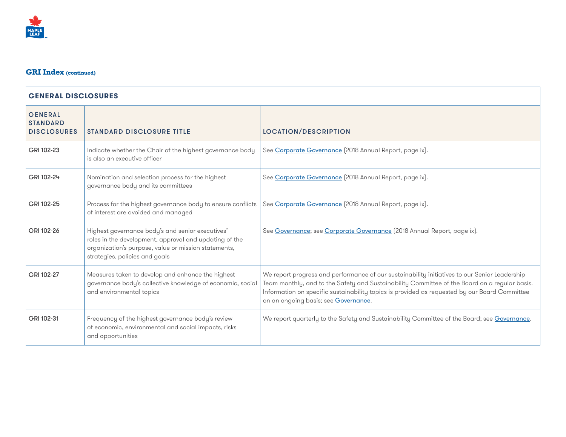

| <b>GENERAL</b><br><b>STANDARD</b><br><b>DISCLOSURES</b> | <b>STANDARD DISCLOSURE TITLE</b>                                                                                                                                                                     | LOCATION/DESCRIPTION                                                                                                                                                                                                                                                                                                                    |
|---------------------------------------------------------|------------------------------------------------------------------------------------------------------------------------------------------------------------------------------------------------------|-----------------------------------------------------------------------------------------------------------------------------------------------------------------------------------------------------------------------------------------------------------------------------------------------------------------------------------------|
| GRI 102-23                                              | Indicate whether the Chair of the highest governance body<br>is also an executive officer                                                                                                            | See Corporate Governance [2018 Annual Report, page ix].                                                                                                                                                                                                                                                                                 |
| GRI 102-24                                              | Nomination and selection process for the highest<br>governance body and its committees                                                                                                               | See Corporate Governance [2018 Annual Report, page ix].                                                                                                                                                                                                                                                                                 |
| GRI 102-25                                              | Process for the highest governance body to ensure conflicts<br>of interest are avoided and managed                                                                                                   | See Corporate Governance [2018 Annual Report, page ix].                                                                                                                                                                                                                                                                                 |
| GRI 102-26                                              | Highest governance body's and senior executives'<br>roles in the development, approval and updating of the<br>organization's purpose, value or mission statements,<br>strategies, policies and goals | See Governance; see Corporate Governance (2018 Annual Report, page ix).                                                                                                                                                                                                                                                                 |
| GRI 102-27                                              | Measures taken to develop and enhance the highest<br>governance body's collective knowledge of economic, social<br>and environmental topics                                                          | We report progress and performance of our sustainability initiatives to our Senior Leadership<br>Team monthly, and to the Safety and Sustainability Committee of the Board on a regular basis.<br>Information on specific sustainability topics is provided as requested by our Board Committee<br>on an ongoing basis; see Governance. |
| GRI 102-31                                              | Frequency of the highest governance body's review<br>of economic, environmental and social impacts, risks<br>and opportunities                                                                       | We report quarterly to the Safety and Sustainability Committee of the Board; see Governance.                                                                                                                                                                                                                                            |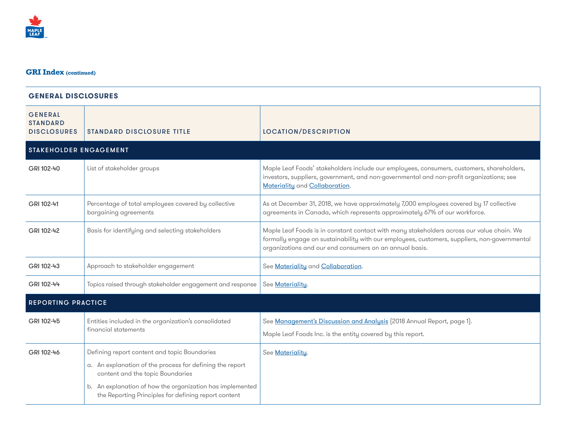# **GENERALDISCLOSURES** GENERAL **STANDARD** DISCLOSURES STANDARD DISCLOSURE TITLE LOCATION/DESCRIPTION STAKEHOLDER ENGAGEMENT GRI 102-40 List of stakeholder groups Maple Leaf Foods' stakeholders include our employees, consumers, customers, shareholders, investors, suppliers, government, and non-governmental and non-profit organizations; see Materiality and Collaboration. GRI 102-41 Percentage of total employees covered by collective bargaining agreements As at December 31, 2018, we have approximately 7,000 employees covered by 17 collective agreements in Canada, which represents approximately 67% of our workforce. GRI 102-42 Basis for identifying and selecting stakeholders Maple Leaf Foods is in constant contact with many stakeholders across our value chain. We formally engage on sustainability with our employees, customers, suppliers, non-governmental organizations and our end consumers on an annual basis. GRI 102-43 Approach to stakeholder engagement See Materiality and Collaboration. GRI 102-44 Topics raised through stakeholder engagement and response See Materiality. REPORTING PRACTICE GRI 102-45 **Entities** included in the organization's consolidated financial statements See Management's Discussion and Analysis (2018 Annual Report, page 1). Maple Leaf Foods Inc. is the entity covered by this report. GRI 102-46 | Defining report content and topic Boundaries a. An explanation of the process for defining the report content and the topic Boundaries b. An explanation of how the organization has implemented the Reporting Principles for defining report content See Materiality.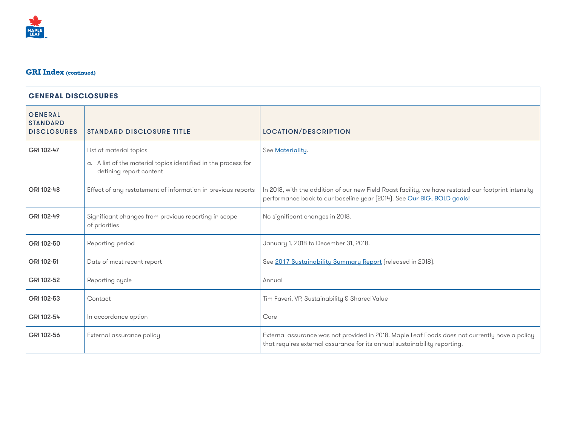

| <b>GENERAL</b><br><b>STANDARD</b><br><b>DISCLOSURES</b> | <b>STANDARD DISCLOSURE TITLE</b>                                                          | LOCATION/DESCRIPTION                                                                                                                                                           |
|---------------------------------------------------------|-------------------------------------------------------------------------------------------|--------------------------------------------------------------------------------------------------------------------------------------------------------------------------------|
| GRI 102-47                                              | List of material topics                                                                   | See Materiality.                                                                                                                                                               |
|                                                         | a. A list of the material topics identified in the process for<br>defining report content |                                                                                                                                                                                |
| GRI 102-48                                              | Effect of any restatement of information in previous reports                              | In 2018, with the addition of our new Field Roast facility, we have restated our footprint intensity<br>performance back to our baseline year (2014). See Our BIG, BOLD goals! |
| GRI 102-49                                              | Significant changes from previous reporting in scope<br>of priorities                     | No significant changes in 2018.                                                                                                                                                |
| GRI 102-50                                              | Reporting period                                                                          | January 1, 2018 to December 31, 2018.                                                                                                                                          |
| GRI 102-51                                              | Date of most recent report                                                                | See 2017 Sustainability Summary Report (released in 2018).                                                                                                                     |
| GRI 102-52                                              | Reporting cycle                                                                           | Annual                                                                                                                                                                         |
| GRI 102-53                                              | Contact                                                                                   | Tim Faveri, VP, Sustainability & Shared Value                                                                                                                                  |
| GRI 102-54                                              | In accordance option                                                                      | Core                                                                                                                                                                           |
| GRI 102-56                                              | External assurance policy                                                                 | External assurance was not provided in 2018. Maple Leaf Foods does not currently have a policy<br>that requires external assurance for its annual sustainability reporting.    |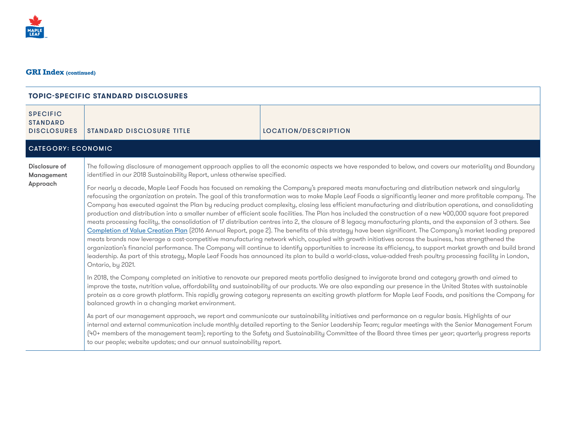

| <b>SPECIFIC</b><br><b>STANDARD</b><br><b>DISCLOSURES</b> | <b>STANDARD DISCLOSURE TITLE</b>                                                                                                                                                                                                                                                                                                                                                                                                                                                                                                                                                                                                                                                                                                                                                                                                                                                                                                                                                                                                                                                                                                                                                                                                                                                                                                                                                                                                                                                                                                                                                                                                                                                                                                         | LOCATION/DESCRIPTION                                                                                                                                                                                                                                                                                                                                                                                                                                                      |  |
|----------------------------------------------------------|------------------------------------------------------------------------------------------------------------------------------------------------------------------------------------------------------------------------------------------------------------------------------------------------------------------------------------------------------------------------------------------------------------------------------------------------------------------------------------------------------------------------------------------------------------------------------------------------------------------------------------------------------------------------------------------------------------------------------------------------------------------------------------------------------------------------------------------------------------------------------------------------------------------------------------------------------------------------------------------------------------------------------------------------------------------------------------------------------------------------------------------------------------------------------------------------------------------------------------------------------------------------------------------------------------------------------------------------------------------------------------------------------------------------------------------------------------------------------------------------------------------------------------------------------------------------------------------------------------------------------------------------------------------------------------------------------------------------------------------|---------------------------------------------------------------------------------------------------------------------------------------------------------------------------------------------------------------------------------------------------------------------------------------------------------------------------------------------------------------------------------------------------------------------------------------------------------------------------|--|
| <b>CATEGORY: ECONOMIC</b>                                |                                                                                                                                                                                                                                                                                                                                                                                                                                                                                                                                                                                                                                                                                                                                                                                                                                                                                                                                                                                                                                                                                                                                                                                                                                                                                                                                                                                                                                                                                                                                                                                                                                                                                                                                          |                                                                                                                                                                                                                                                                                                                                                                                                                                                                           |  |
| Disclosure of<br>Management                              | The following disclosure of management approach applies to all the economic aspects we have responded to below, and covers our materiality and Boundary<br>identified in our 2018 Sustainability Report, unless otherwise specified.<br>For nearly a decade, Maple Leaf Foods has focused on remaking the Company's prepared meats manufacturing and distribution network and singularly<br>refocusing the organization on protein. The goal of this transformation was to make Maple Leaf Foods a significantly leaner and more profitable company. The<br>Company has executed against the Plan by reducing product complexity, closing less efficient manufacturing and distribution operations, and consolidating<br>production and distribution into a smaller number of efficient scale facilities. The Plan has included the construction of a new 400,000 square foot prepared<br>meats processing facility, the consolidation of 17 distribution centres into 2, the closure of 8 legacy manufacturing plants, and the expansion of 3 others. See<br>Completion of Value Creation Plan (2016 Annual Report, page 2). The benefits of this strategy have been significant. The Company's market leading prepared<br>meats brands now leverage a cost-competitive manufacturing network which, coupled with growth initiatives across the business, has strengthened the<br>organization's financial performance. The Company will continue to identify opportunities to increase its efficiency, to support market growth and build brand<br>leadership. As part of this strategy, Maple Leaf Foods has announced its plan to build a world-class, value-added fresh poultry processing facility in London,<br>Ontario, by 2021. |                                                                                                                                                                                                                                                                                                                                                                                                                                                                           |  |
| Approach                                                 |                                                                                                                                                                                                                                                                                                                                                                                                                                                                                                                                                                                                                                                                                                                                                                                                                                                                                                                                                                                                                                                                                                                                                                                                                                                                                                                                                                                                                                                                                                                                                                                                                                                                                                                                          |                                                                                                                                                                                                                                                                                                                                                                                                                                                                           |  |
|                                                          | In 2018, the Company completed an initiative to renovate our prepared meats portfolio designed to invigorate brand and category growth and aimed to<br>improve the taste, nutrition value, affordability and sustainability of our products. We are also expanding our presence in the United States with sustainable<br>protein as a core growth platform. This rapidly growing category represents an exciting growth platform for Maple Leaf Foods, and positions the Company for<br>balanced growth in a changing market environment.                                                                                                                                                                                                                                                                                                                                                                                                                                                                                                                                                                                                                                                                                                                                                                                                                                                                                                                                                                                                                                                                                                                                                                                                |                                                                                                                                                                                                                                                                                                                                                                                                                                                                           |  |
|                                                          | to our people; website updates; and our annual sustainability report.                                                                                                                                                                                                                                                                                                                                                                                                                                                                                                                                                                                                                                                                                                                                                                                                                                                                                                                                                                                                                                                                                                                                                                                                                                                                                                                                                                                                                                                                                                                                                                                                                                                                    | As part of our management approach, we report and communicate our sustainability initiatives and performance on a regular basis. Highlights of our<br>internal and external communication include monthly detailed reporting to the Senior Leadership Team; regular meetings with the Senior Management Forum<br>(40+ members of the management team); reporting to the Safety and Sustainability Committee of the Board three times per year; quarterly progress reports |  |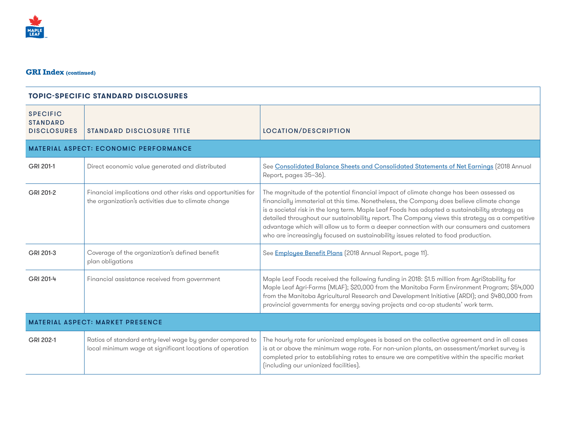

| <b>TOPIC-SPECIFIC STANDARD DISCLOSURES</b>               |                                                                                                                       |                                                                                                                                                                                                                                                                                                                                                                                                                                                                                                                                                                             |
|----------------------------------------------------------|-----------------------------------------------------------------------------------------------------------------------|-----------------------------------------------------------------------------------------------------------------------------------------------------------------------------------------------------------------------------------------------------------------------------------------------------------------------------------------------------------------------------------------------------------------------------------------------------------------------------------------------------------------------------------------------------------------------------|
| <b>SPECIFIC</b><br><b>STANDARD</b><br><b>DISCLOSURES</b> | <b>STANDARD DISCLOSURE TITLE</b>                                                                                      | LOCATION/DESCRIPTION                                                                                                                                                                                                                                                                                                                                                                                                                                                                                                                                                        |
|                                                          | <b>MATERIAL ASPECT: ECONOMIC PERFORMANCE</b>                                                                          |                                                                                                                                                                                                                                                                                                                                                                                                                                                                                                                                                                             |
| GRI 201-1                                                | Direct economic value generated and distributed                                                                       | See Consolidated Balance Sheets and Consolidated Statements of Net Earnings (2018 Annual<br>Report, pages 35-36).                                                                                                                                                                                                                                                                                                                                                                                                                                                           |
| GRI 201-2                                                | Financial implications and other risks and opportunities for<br>the organization's activities due to climate change   | The magnitude of the potential financial impact of climate change has been assessed as<br>financially immaterial at this time. Nonetheless, the Company does believe climate change<br>is a societal risk in the long term. Maple Leaf Foods has adopted a sustainability strategy as<br>detailed throughout our sustainability report. The Company views this strategy as a competitive<br>advantage which will allow us to form a deeper connection with our consumers and customers<br>who are increasingly focused on sustainability issues related to food production. |
| GRI 201-3                                                | Coverage of the organization's defined benefit<br>plan obligations                                                    | See Employee Benefit Plans (2018 Annual Report, page 11).                                                                                                                                                                                                                                                                                                                                                                                                                                                                                                                   |
| GRI 201-4                                                | Financial assistance received from government                                                                         | Maple Leaf Foods received the following funding in 2018: \$1.5 million from AgriStability for<br>Maple Leaf Agri-Farms (MLAF); \$20,000 from the Manitoba Farm Environment Program; \$54,000<br>from the Manitoba Agricultural Research and Development Initiative (ARDI); and \$480,000 from<br>provincial governments for energy saving projects and co-op students' work term.                                                                                                                                                                                           |
| <b>MATERIAL ASPECT: MARKET PRESENCE</b>                  |                                                                                                                       |                                                                                                                                                                                                                                                                                                                                                                                                                                                                                                                                                                             |
| GRI 202-1                                                | Ratios of standard entry-level wage by gender compared to<br>local minimum wage at significant locations of operation | The hourly rate for unionized employees is based on the collective agreement and in all cases<br>is at or above the minimum wage rate. For non-union plants, an assessment/market survey is<br>completed prior to establishing rates to ensure we are competitive within the specific market<br>(including our unionized facilities).                                                                                                                                                                                                                                       |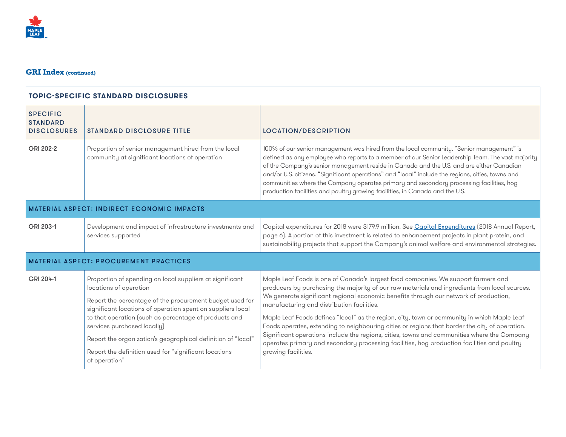

| <b>SPECIFIC</b><br><b>STANDARD</b><br><b>DISCLOSURES</b> | <b>STANDARD DISCLOSURE TITLE</b>                                                                                                                                                                                                                                                                                                                                                                                                                | LOCATION/DESCRIPTION                                                                                                                                                                                                                                                                                                                                                                                                                                                                                                                                                                                                                                                                                                                             |
|----------------------------------------------------------|-------------------------------------------------------------------------------------------------------------------------------------------------------------------------------------------------------------------------------------------------------------------------------------------------------------------------------------------------------------------------------------------------------------------------------------------------|--------------------------------------------------------------------------------------------------------------------------------------------------------------------------------------------------------------------------------------------------------------------------------------------------------------------------------------------------------------------------------------------------------------------------------------------------------------------------------------------------------------------------------------------------------------------------------------------------------------------------------------------------------------------------------------------------------------------------------------------------|
| GRI 202-2                                                | Proportion of senior management hired from the local<br>community at significant locations of operation                                                                                                                                                                                                                                                                                                                                         | 100% of our senior management was hired from the local community. "Senior management" is<br>defined as any employee who reports to a member of our Senior Leadership Team. The vast majority<br>of the Company's senior management reside in Canada and the U.S. and are either Canadian<br>and/or U.S. citizens. "Significant operations" and "local" include the regions, cities, towns and<br>communities where the Company operates primary and secondary processing facilities, hog<br>production facilities and poultry growing facilities, in Canada and the U.S.                                                                                                                                                                         |
| <b>MATERIAL ASPECT: INDIRECT ECONOMIC IMPACTS</b>        |                                                                                                                                                                                                                                                                                                                                                                                                                                                 |                                                                                                                                                                                                                                                                                                                                                                                                                                                                                                                                                                                                                                                                                                                                                  |
| GRI 203-1                                                | Development and impact of infrastructure investments and<br>services supported                                                                                                                                                                                                                                                                                                                                                                  | Capital expenditures for 2018 were \$179.9 million. See Capital Expenditures [2018 Annual Report,<br>page 6). A portion of this investment is related to enhancement projects in plant protein, and<br>sustainability projects that support the Company's animal welfare and environmental strategies.                                                                                                                                                                                                                                                                                                                                                                                                                                           |
|                                                          | <b>MATERIAL ASPECT: PROCUREMENT PRACTICES</b>                                                                                                                                                                                                                                                                                                                                                                                                   |                                                                                                                                                                                                                                                                                                                                                                                                                                                                                                                                                                                                                                                                                                                                                  |
| GRI 204-1                                                | Proportion of spending on local suppliers at significant<br>locations of operation<br>Report the percentage of the procurement budget used for<br>significant locations of operation spent on suppliers local<br>to that operation (such as percentage of products and<br>services purchased locally)<br>Report the organization's geographical definition of "local"<br>Report the definition used for "significant locations<br>of operation" | Maple Leaf Foods is one of Canada's largest food companies. We support farmers and<br>producers by purchasing the majority of our raw materials and ingredients from local sources.<br>We generate significant regional economic benefits through our network of production,<br>manufacturing and distribution facilities.<br>Maple Leaf Foods defines "local" as the region, city, town or community in which Maple Leaf<br>Foods operates, extending to neighbouring cities or regions that border the city of operation.<br>Significant operations include the regions, cities, towns and communities where the Company<br>operates primary and secondary processing facilities, hog production facilities and poultry<br>growing facilities. |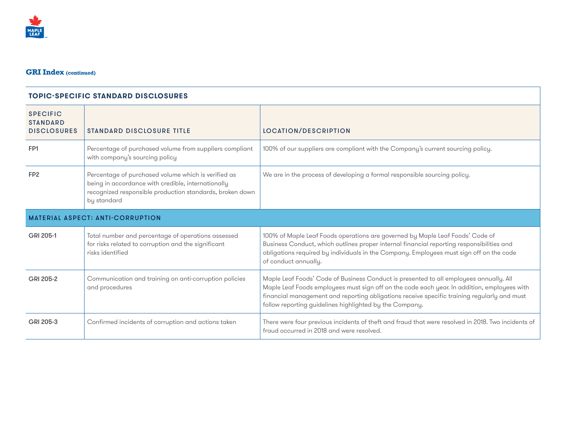

| <b>SPECIFIC</b><br><b>STANDARD</b><br><b>DISCLOSURES</b> | <b>STANDARD DISCLOSURE TITLE</b>                                                                                                                                                     | LOCATION/DESCRIPTION                                                                                                                                                                                                                                                                                                                            |
|----------------------------------------------------------|--------------------------------------------------------------------------------------------------------------------------------------------------------------------------------------|-------------------------------------------------------------------------------------------------------------------------------------------------------------------------------------------------------------------------------------------------------------------------------------------------------------------------------------------------|
| FP <sub>1</sub>                                          | Percentage of purchased volume from suppliers compliant<br>with company's sourcing policy                                                                                            | 100% of our suppliers are compliant with the Company's current sourcing policy.                                                                                                                                                                                                                                                                 |
| FP <sub>2</sub>                                          | Percentage of purchased volume which is verified as<br>being in accordance with credible, internationally<br>recognized responsible production standards, broken down<br>by standard | We are in the process of developing a formal responsible sourcing policy.                                                                                                                                                                                                                                                                       |
|                                                          | <b>MATERIAL ASPECT: ANTI-CORRUPTION</b>                                                                                                                                              |                                                                                                                                                                                                                                                                                                                                                 |
| GRI 205-1                                                | Total number and percentage of operations assessed<br>for risks related to corruption and the significant<br>risks identified                                                        | 100% of Maple Leaf Foods operations are governed by Maple Leaf Foods' Code of<br>Business Conduct, which outlines proper internal financial reporting responsibilities and<br>obligations required by individuals in the Company. Employees must sign off on the code<br>of conduct annually.                                                   |
| GRI 205-2                                                | Communication and training on anti-corruption policies<br>and procedures                                                                                                             | Maple Leaf Foods' Code of Business Conduct is presented to all employees annually. All<br>Maple Leaf Foods employees must sign off on the code each year. In addition, employees with<br>financial management and reporting obligations receive specific training regularly and must<br>follow reporting guidelines highlighted by the Company. |
| GRI 205-3                                                | Confirmed incidents of corruption and actions taken                                                                                                                                  | There were four previous incidents of theft and fraud that were resolved in 2018. Two incidents of<br>fraud occurred in 2018 and were resolved.                                                                                                                                                                                                 |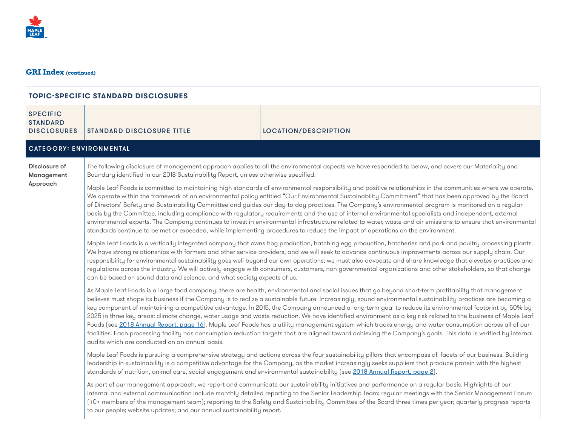

| <b>SPECIFIC</b><br><b>STANDARD</b><br><b>DISCLOSURES</b> | <b>STANDARD DISCLOSURE TITLE</b>                                                                                                                                                                                                                                                                                                                                                                                                                                                                                                                                                                                                                                                                                                                                                                                                                                                                                                                                                                                               | LOCATION/DESCRIPTION                                                                                                                                                                                                                                                                                                                                                                                                                                                      |  |
|----------------------------------------------------------|--------------------------------------------------------------------------------------------------------------------------------------------------------------------------------------------------------------------------------------------------------------------------------------------------------------------------------------------------------------------------------------------------------------------------------------------------------------------------------------------------------------------------------------------------------------------------------------------------------------------------------------------------------------------------------------------------------------------------------------------------------------------------------------------------------------------------------------------------------------------------------------------------------------------------------------------------------------------------------------------------------------------------------|---------------------------------------------------------------------------------------------------------------------------------------------------------------------------------------------------------------------------------------------------------------------------------------------------------------------------------------------------------------------------------------------------------------------------------------------------------------------------|--|
| <b>CATEGORY: ENVIRONMENTAL</b>                           |                                                                                                                                                                                                                                                                                                                                                                                                                                                                                                                                                                                                                                                                                                                                                                                                                                                                                                                                                                                                                                |                                                                                                                                                                                                                                                                                                                                                                                                                                                                           |  |
| Disclosure of<br>Management                              | The following disclosure of management approach applies to all the environmental aspects we have responded to below, and covers our Materiality and<br>Boundary identified in our 2018 Sustainability Report, unless otherwise specified.                                                                                                                                                                                                                                                                                                                                                                                                                                                                                                                                                                                                                                                                                                                                                                                      |                                                                                                                                                                                                                                                                                                                                                                                                                                                                           |  |
| Approach                                                 | Maple Leaf Foods is committed to maintaining high standards of environmental responsibility and positive relationships in the communities where we operate.<br>We operate within the framework of an environmental policy entitled "Our Environmental Sustainability Commitment" that has been approved by the Board<br>of Directors' Safety and Sustainability Committee and guides our day-to-day practices. The Company's environmental program is monitored on a regular<br>basis by the Committee, including compliance with regulatory requirements and the use of internal environmental specialists and independent, external<br>environmental experts. The Company continues to invest in environmental infrastructure related to water, waste and air emissions to ensure that environmental<br>standards continue to be met or exceeded, while implementing procedures to reduce the impact of operations on the environment.                                                                                       |                                                                                                                                                                                                                                                                                                                                                                                                                                                                           |  |
|                                                          | Maple Leaf Foods is a vertically integrated company that owns hog production, hatching egg production, hatcheries and pork and poultry processing plants.<br>We have strong relationships with farmers and other service providers, and we will seek to advance continuous improvements across our supply chain. Our<br>responsibility for environmental sustainability goes well beyond our own operations; we must also advocate and share knowledge that elevates practices and<br>regulations across the industry. We will actively engage with consumers, customers, non-governmental organizations and other stakeholders, so that change<br>can be based on sound data and science, and what society expects of us.                                                                                                                                                                                                                                                                                                     |                                                                                                                                                                                                                                                                                                                                                                                                                                                                           |  |
|                                                          | As Maple Leaf Foods is a large food company, there are health, environmental and social issues that go beyond short-term profitability that management<br>believes must shape its business if the Company is to realize a sustainable future. Increasingly, sound environmental sustainability practices are becoming a<br>key component of maintaining a competitive advantage. In 2015, the Company announced a long-term goal to reduce its environmental footprint by 50% by<br>2025 in three key areas: climate change, water usage and waste reduction. We have identified environment as a key risk related to the business of Maple Leaf<br>Foods (see 2018 Annual Report, page 16). Maple Leaf Foods has a utility management system which tracks energy and water consumption across all of our<br>facilities. Each processing facility has consumption reduction targets that are aligned toward achieving the Company's goals. This data is verified by internal<br>audits which are conducted on an annual basis. |                                                                                                                                                                                                                                                                                                                                                                                                                                                                           |  |
|                                                          | Maple Leaf Foods is pursuing a comprehensive strategy and actions across the four sustainability pillars that encompass all facets of our business. Building<br>leadership in sustainability is a competitive advantage for the Company, as the market increasingly seeks suppliers that produce protein with the highest<br>standards of nutrition, animal care, social engagement and environmental sustainability (see 2018 Annual Report, page 2).                                                                                                                                                                                                                                                                                                                                                                                                                                                                                                                                                                         |                                                                                                                                                                                                                                                                                                                                                                                                                                                                           |  |
|                                                          | to our people; website updates; and our annual sustainability report.                                                                                                                                                                                                                                                                                                                                                                                                                                                                                                                                                                                                                                                                                                                                                                                                                                                                                                                                                          | As part of our management approach, we report and communicate our sustainability initiatives and performance on a regular basis. Highlights of our<br>internal and external communication include monthly detailed reporting to the Senior Leadership Team; regular meetings with the Senior Management Forum<br>(40+ members of the management team); reporting to the Safety and Sustainability Committee of the Board three times per year; quarterly progress reports |  |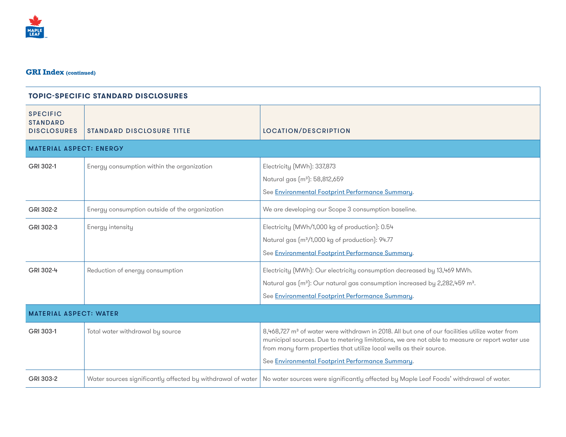

| <b>TOPIC-SPECIFIC STANDARD DISCLOSURES</b>               |                                                             |                                                                                                                                                                                                                                                                                                                                         |
|----------------------------------------------------------|-------------------------------------------------------------|-----------------------------------------------------------------------------------------------------------------------------------------------------------------------------------------------------------------------------------------------------------------------------------------------------------------------------------------|
| <b>SPECIFIC</b><br><b>STANDARD</b><br><b>DISCLOSURES</b> | <b>STANDARD DISCLOSURE TITLE</b>                            | LOCATION/DESCRIPTION                                                                                                                                                                                                                                                                                                                    |
| <b>MATERIAL ASPECT: ENERGY</b>                           |                                                             |                                                                                                                                                                                                                                                                                                                                         |
| GRI 302-1                                                | Energy consumption within the organization                  | Electricity (MWh): 337,873<br>Natural gas (m <sup>3</sup> ): 58,812,659<br>See Environmental Footprint Performance Summary.                                                                                                                                                                                                             |
| GRI 302-2                                                | Energy consumption outside of the organization              | We are developing our Scope 3 consumption baseline.                                                                                                                                                                                                                                                                                     |
| GRI 302-3                                                | Energy intensity                                            | Electricity (MWh/1,000 kg of production): 0.54<br>Natural gas (m <sup>3</sup> /1,000 kg of production): 94.77<br>See Environmental Footprint Performance Summary.                                                                                                                                                                       |
| GRI 302-4                                                | Reduction of energy consumption                             | Electricity (MWh): Our electricity consumption decreased by 13,469 MWh.<br>Natural gas (m <sup>3</sup> ): Our natural gas consumption increased by 2,282,459 m <sup>3</sup> .<br>See Environmental Footprint Performance Summary.                                                                                                       |
| <b>MATERIAL ASPECT: WATER</b>                            |                                                             |                                                                                                                                                                                                                                                                                                                                         |
| GRI 303-1                                                | Total water withdrawal by source                            | 8,468,727 m <sup>3</sup> of water were withdrawn in 2018. All but one of our facilities utilize water from<br>municipal sources. Due to metering limitations, we are not able to measure or report water use<br>from many farm properties that utilize local wells as their source.<br>See Environmental Footprint Performance Summary. |
| GRI 303-2                                                | Water sources significantly affected by withdrawal of water | No water sources were significantly affected by Maple Leaf Foods' withdrawal of water.                                                                                                                                                                                                                                                  |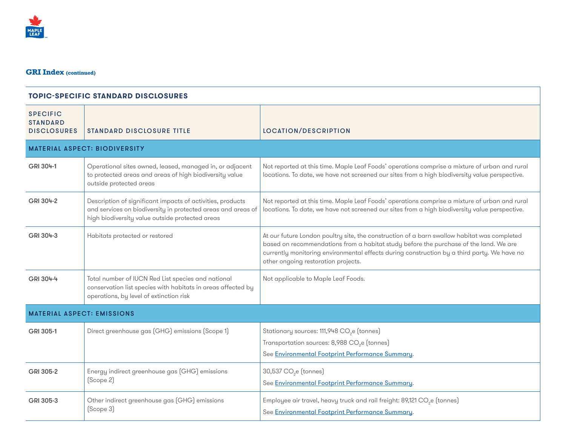

| <b>SPECIFIC</b><br><b>STANDARD</b><br><b>DISCLOSURES</b> | <b>STANDARD DISCLOSURE TITLE</b>                                                                                                                                              | <b>LOCATION/DESCRIPTION</b>                                                                                                                                                                                                                                                                                                |
|----------------------------------------------------------|-------------------------------------------------------------------------------------------------------------------------------------------------------------------------------|----------------------------------------------------------------------------------------------------------------------------------------------------------------------------------------------------------------------------------------------------------------------------------------------------------------------------|
|                                                          | <b>MATERIAL ASPECT: BIODIVERSITY</b>                                                                                                                                          |                                                                                                                                                                                                                                                                                                                            |
| GRI 304-1                                                | Operational sites owned, leased, managed in, or adjacent<br>to protected areas and areas of high biodiversity value<br>outside protected areas                                | Not reported at this time. Maple Leaf Foods' operations comprise a mixture of urban and rural<br>locations. To date, we have not screened our sites from a high biodiversity value perspective.                                                                                                                            |
| GRI 304-2                                                | Description of significant impacts of activities, products<br>and services on biodiversity in protected areas and areas of<br>high biodiversity value outside protected areas | Not reported at this time. Maple Leaf Foods' operations comprise a mixture of urban and rural<br>locations. To date, we have not screened our sites from a high biodiversity value perspective.                                                                                                                            |
| GRI 304-3                                                | Habitats protected or restored                                                                                                                                                | At our future London poultry site, the construction of a barn swallow habitat was completed<br>based on recommendations from a habitat study before the purchase of the land. We are<br>currently monitoring environmental effects during construction by a third party. We have no<br>other ongoing restoration projects. |
| GRI 304-4                                                | Total number of IUCN Red List species and national<br>conservation list species with habitats in areas affected by<br>operations, by level of extinction risk                 | Not applicable to Maple Leaf Foods.                                                                                                                                                                                                                                                                                        |
| <b>MATERIAL ASPECT: EMISSIONS</b>                        |                                                                                                                                                                               |                                                                                                                                                                                                                                                                                                                            |
| GRI 305-1                                                | Direct greenhouse gas (GHG) emissions (Scope 1)                                                                                                                               | Stationary sources: 111,948 CO <sub>2</sub> e (tonnes)<br>Transportation sources: 8,988 CO <sub>2</sub> e (tonnes)<br>See Environmental Footprint Performance Summary.                                                                                                                                                     |
| GRI 305-2                                                | Energy indirect greenhouse gas (GHG) emissions<br>(Scope 2)                                                                                                                   | 30,537 CO <sub>2</sub> e (tonnes)<br>See Environmental Footprint Performance Summary.                                                                                                                                                                                                                                      |
| GRI 305-3                                                | Other indirect greenhouse gas (GHG) emissions<br>(Scope 3)                                                                                                                    | Employee air travel, heavy truck and rail freight: 89,121 CO <sub>2</sub> e (tonnes)<br>See Environmental Footprint Performance Summary.                                                                                                                                                                                   |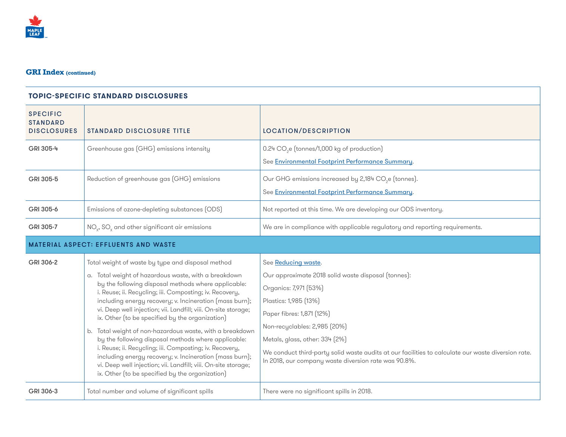

| <b>SPECIFIC</b><br><b>STANDARD</b><br><b>DISCLOSURES</b> | <b>STANDARD DISCLOSURE TITLE</b>                                                                                                                                                                                                                                                                                                                                                                                                                                                                                                                                                                                                                                                                                                                                          | <b>LOCATION/DESCRIPTION</b>                                                                                                                                                                                                                                                                                                                                                               |
|----------------------------------------------------------|---------------------------------------------------------------------------------------------------------------------------------------------------------------------------------------------------------------------------------------------------------------------------------------------------------------------------------------------------------------------------------------------------------------------------------------------------------------------------------------------------------------------------------------------------------------------------------------------------------------------------------------------------------------------------------------------------------------------------------------------------------------------------|-------------------------------------------------------------------------------------------------------------------------------------------------------------------------------------------------------------------------------------------------------------------------------------------------------------------------------------------------------------------------------------------|
| GRI 305-4                                                | Greenhouse gas (GHG) emissions intensity                                                                                                                                                                                                                                                                                                                                                                                                                                                                                                                                                                                                                                                                                                                                  | 0.24 CO <sub>2</sub> e (tonnes/1,000 kg of production)<br>See Environmental Footprint Performance Summary.                                                                                                                                                                                                                                                                                |
| GRI 305-5                                                | Reduction of greenhouse gas (GHG) emissions                                                                                                                                                                                                                                                                                                                                                                                                                                                                                                                                                                                                                                                                                                                               | Our GHG emissions increased by 2,184 CO <sub>2</sub> e (tonnes).<br>See Environmental Footprint Performance Summary.                                                                                                                                                                                                                                                                      |
| GRI 305-6                                                | Emissions of ozone-depleting substances (ODS)                                                                                                                                                                                                                                                                                                                                                                                                                                                                                                                                                                                                                                                                                                                             | Not reported at this time. We are developing our ODS inventory.                                                                                                                                                                                                                                                                                                                           |
| GRI 305-7                                                | NO <sub>v</sub> , SO <sub>v</sub> and other significant air emissions                                                                                                                                                                                                                                                                                                                                                                                                                                                                                                                                                                                                                                                                                                     | We are in compliance with applicable regulatory and reporting requirements.                                                                                                                                                                                                                                                                                                               |
|                                                          | <b>MATERIAL ASPECT: EFFLUENTS AND WASTE</b>                                                                                                                                                                                                                                                                                                                                                                                                                                                                                                                                                                                                                                                                                                                               |                                                                                                                                                                                                                                                                                                                                                                                           |
| GRI 306-2                                                | Total weight of waste by type and disposal method<br>a. Total weight of hazardous waste, with a breakdown<br>by the following disposal methods where applicable:<br>i. Reuse; ii. Recycling; iii. Composting; iv. Recovery,<br>including energy recovery; v. Incineration (mass burn);<br>vi. Deep well injection; vii. Landfill; viii. On-site storage;<br>ix. Other (to be specified by the organization)<br>b. Total weight of non-hazardous waste, with a breakdown<br>by the following disposal methods where applicable:<br>i. Reuse; ii. Recycling; iii. Composting; iv. Recovery,<br>including energy recovery; v. Incineration (mass burn);<br>vi. Deep well injection; vii. Landfill; viii. On-site storage;<br>ix. Other (to be specified by the organization) | See Reducing waste.<br>Our approximate 2018 solid waste disposal (tonnes):<br>Organics: 7,971 (53%)<br>Plastics: 1,985 (13%)<br>Paper fibres: 1,871 (12%)<br>Non-recyclables: 2,985 (20%)<br>Metals, glass, other: 334 (2%)<br>We conduct third-party solid waste audits at our facilities to calculate our waste diversion rate.<br>In 2018, our company waste diversion rate was 90.8%. |
| GRI 306-3                                                | Total number and volume of significant spills                                                                                                                                                                                                                                                                                                                                                                                                                                                                                                                                                                                                                                                                                                                             | There were no significant spills in 2018.                                                                                                                                                                                                                                                                                                                                                 |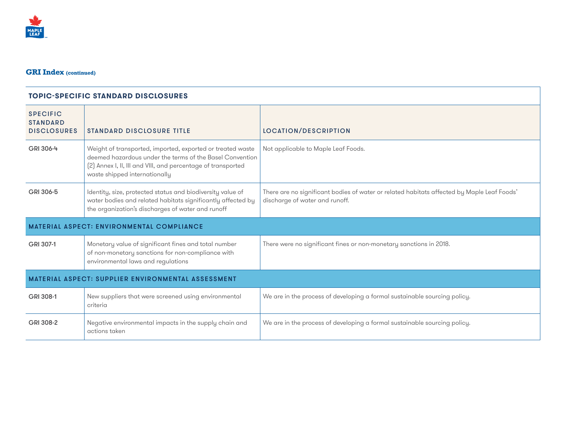

| <b>SPECIFIC</b><br><b>STANDARD</b><br><b>DISCLOSURES</b>  | <b>STANDARD DISCLOSURE TITLE</b>                                                                                                                                                                                        | <b>LOCATION/DESCRIPTION</b>                                                                                                  |
|-----------------------------------------------------------|-------------------------------------------------------------------------------------------------------------------------------------------------------------------------------------------------------------------------|------------------------------------------------------------------------------------------------------------------------------|
| GRI 306-4                                                 | Weight of transported, imported, exported or treated waste<br>deemed hazardous under the terms of the Basel Convention<br>[2] Annex I, II, III and VIII, and percentage of transported<br>waste shipped internationally | Not applicable to Maple Leaf Foods.                                                                                          |
| GRI 306-5                                                 | Identity, size, protected status and biodiversity value of<br>water bodies and related habitats significantly affected by<br>the organization's discharges of water and runoff                                          | There are no significant bodies of water or related habitats affected by Maple Leaf Foods'<br>discharge of water and runoff. |
| <b>MATERIAL ASPECT: ENVIRONMENTAL COMPLIANCE</b>          |                                                                                                                                                                                                                         |                                                                                                                              |
| GRI 307-1                                                 | Monetary value of significant fines and total number<br>of non-monetary sanctions for non-compliance with<br>environmental laws and regulations                                                                         | There were no significant fines or non-monetary sanctions in 2018.                                                           |
| <b>MATERIAL ASPECT: SUPPLIER ENVIRONMENTAL ASSESSMENT</b> |                                                                                                                                                                                                                         |                                                                                                                              |
| GRI 308-1                                                 | New suppliers that were screened using environmental<br>criteria                                                                                                                                                        | We are in the process of developing a formal sustainable sourcing policy.                                                    |
| GRI 308-2                                                 | Negative environmental impacts in the supply chain and<br>actions taken                                                                                                                                                 | We are in the process of developing a formal sustainable sourcing policy.                                                    |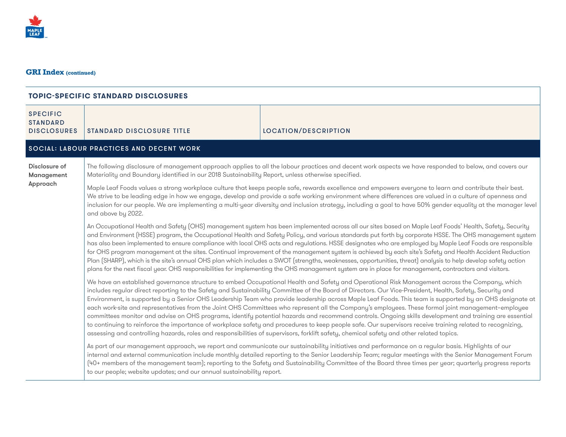

| <b>SPECIFIC</b><br><b>STANDARD</b><br><b>DISCLOSURES</b> | <b>STANDARD DISCLOSURE TITLE</b>                                                                                                                                                                                                                                                                                                                                                                                                                                                                                                                                                                                                                                                                                                                                                                                                                                                                                                                                                                                                                                                                | LOCATION/DESCRIPTION                                                                                                                                                                                                                                                                                                                                                                                                                                                      |
|----------------------------------------------------------|-------------------------------------------------------------------------------------------------------------------------------------------------------------------------------------------------------------------------------------------------------------------------------------------------------------------------------------------------------------------------------------------------------------------------------------------------------------------------------------------------------------------------------------------------------------------------------------------------------------------------------------------------------------------------------------------------------------------------------------------------------------------------------------------------------------------------------------------------------------------------------------------------------------------------------------------------------------------------------------------------------------------------------------------------------------------------------------------------|---------------------------------------------------------------------------------------------------------------------------------------------------------------------------------------------------------------------------------------------------------------------------------------------------------------------------------------------------------------------------------------------------------------------------------------------------------------------------|
|                                                          | SOCIAL: LABOUR PRACTICES AND DECENT WORK                                                                                                                                                                                                                                                                                                                                                                                                                                                                                                                                                                                                                                                                                                                                                                                                                                                                                                                                                                                                                                                        |                                                                                                                                                                                                                                                                                                                                                                                                                                                                           |
| Disclosure of<br>Management                              | The following disclosure of management approach applies to all the labour practices and decent work aspects we have responded to below, and covers our<br>Materiality and Boundary identified in our 2018 Sustainability Report, unless otherwise specified.                                                                                                                                                                                                                                                                                                                                                                                                                                                                                                                                                                                                                                                                                                                                                                                                                                    |                                                                                                                                                                                                                                                                                                                                                                                                                                                                           |
| Approach                                                 | Maple Leaf Foods values a strong workplace culture that keeps people safe, rewards excellence and empowers everyone to learn and contribute their best.<br>We strive to be leading edge in how we engage, develop and provide a safe working environment where differences are valued in a culture of openness and<br>inclusion for our people. We are implementing a multi-year diversity and inclusion strategy, including a goal to have 50% gender equality at the manager level<br>and above by 2022.                                                                                                                                                                                                                                                                                                                                                                                                                                                                                                                                                                                      |                                                                                                                                                                                                                                                                                                                                                                                                                                                                           |
|                                                          | An Occupational Health and Safety (OHS) management system has been implemented across all our sites based on Maple Leaf Foods' Health, Safety, Security<br>and Environment (HSSE) program, the Occupational Health and Safety Policy, and various standards put forth by corporate HSSE. The OHS management system<br>has also been implemented to ensure compliance with local OHS acts and regulations. HSSE designates who are employed by Maple Leaf Foods are responsible<br>for OHS program management at the sites. Continual improvement of the management system is achieved by each site's Safety and Health Accident Reduction<br>Plan (SHARP), which is the site's annual OHS plan which includes a SWOT (strengths, weaknesses, opportunities, threat) analysis to help develop safety action<br>plans for the next fiscal year. OHS responsibilities for implementing the OHS management system are in place for management, contractors and visitors.                                                                                                                            |                                                                                                                                                                                                                                                                                                                                                                                                                                                                           |
|                                                          | We have an established governance structure to embed Occupational Health and Safety and Operational Risk Management across the Company, which<br>includes regular direct reporting to the Safety and Sustainability Committee of the Board of Directors. Our Vice-President, Health, Safety, Security and<br>Environment, is supported by a Senior OHS Leadership Team who provide leadership across Maple Leaf Foods. This team is supported by an OHS designate at<br>each work-site and representatives from the Joint OHS Committees who represent all the Company's employees. These formal joint management-employee<br>committees monitor and advise on OHS programs, identify potential hazards and recommend controls. Ongoing skills development and training are essential<br>to continuing to reinforce the importance of workplace safety and procedures to keep people safe. Our supervisors receive training related to recognizing,<br>assessing and controlling hazards, roles and responsibilities of supervisors, forklift safety, chemical safety and other related topics. |                                                                                                                                                                                                                                                                                                                                                                                                                                                                           |
|                                                          | to our people; website updates; and our annual sustainability report.                                                                                                                                                                                                                                                                                                                                                                                                                                                                                                                                                                                                                                                                                                                                                                                                                                                                                                                                                                                                                           | As part of our management approach, we report and communicate our sustainability initiatives and performance on a regular basis. Highlights of our<br>internal and external communication include monthly detailed reporting to the Senior Leadership Team; regular meetings with the Senior Management Forum<br>(40+ members of the management team); reporting to the Safety and Sustainability Committee of the Board three times per year; quarterly progress reports |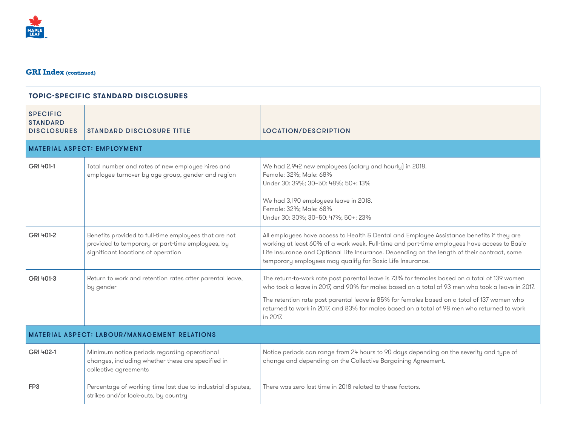

| <b>STANDARD DISCLOSURE TITLE</b>                                                                                                                | LOCATION/DESCRIPTION                                                                                                                                                                                                                                                                                                                                                                                       |  |
|-------------------------------------------------------------------------------------------------------------------------------------------------|------------------------------------------------------------------------------------------------------------------------------------------------------------------------------------------------------------------------------------------------------------------------------------------------------------------------------------------------------------------------------------------------------------|--|
|                                                                                                                                                 |                                                                                                                                                                                                                                                                                                                                                                                                            |  |
| Total number and rates of new employee hires and<br>employee turnover by age group, gender and region                                           | We had 2,942 new employees (salary and hourly) in 2018.<br>Female: 32%; Male: 68%<br>Under 30: 39%; 30-50: 48%; 50+: 13%<br>We had 3,190 employees leave in 2018.<br>Female: 32%; Male: 68%<br>Under 30: 30%; 30-50: 47%; 50+: 23%                                                                                                                                                                         |  |
| Benefits provided to full-time employees that are not<br>provided to temporary or part-time employees, by<br>significant locations of operation | All employees have access to Health & Dental and Employee Assistance benefits if they are<br>working at least 60% of a work week. Full-time and part-time employees have access to Basic<br>Life Insurance and Optional Life Insurance. Depending on the length of their contract, some<br>temporary employees may qualify for Basic Life Insurance.                                                       |  |
| Return to work and retention rates after parental leave,<br>by gender                                                                           | The return-to-work rate post parental leave is 73% for females based on a total of 139 women<br>who took a leave in 2017, and 90% for males based on a total of 93 men who took a leave in 2017.<br>The retention rate post parental leave is 85% for females based on a total of 137 women who<br>returned to work in 2017, and 83% for males based on a total of 98 men who returned to work<br>in 2017. |  |
| <b>MATERIAL ASPECT: LABOUR/MANAGEMENT RELATIONS</b>                                                                                             |                                                                                                                                                                                                                                                                                                                                                                                                            |  |
| Minimum notice periods regarding operational<br>changes, including whether these are specified in<br>collective agreements                      | Notice periods can range from 24 hours to 90 days depending on the severity and type of<br>change and depending on the Collective Bargaining Agreement.                                                                                                                                                                                                                                                    |  |
| Percentage of working time lost due to industrial disputes,<br>strikes and/or lock-outs, by country                                             | There was zero lost time in 2018 related to these factors.                                                                                                                                                                                                                                                                                                                                                 |  |
|                                                                                                                                                 | <b>MATERIAL ASPECT: EMPLOYMENT</b>                                                                                                                                                                                                                                                                                                                                                                         |  |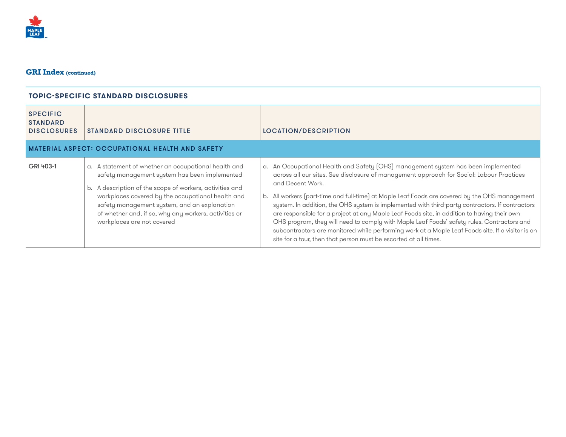

| <b>SPECIFIC</b><br><b>STANDARD</b> |                                                                                                                                                                                                                                                                                                                                                               |                                                                                                                                                                                                                                                                                                                                                                                                                                                                                                                                                                                                                                                                                                                                                                              |
|------------------------------------|---------------------------------------------------------------------------------------------------------------------------------------------------------------------------------------------------------------------------------------------------------------------------------------------------------------------------------------------------------------|------------------------------------------------------------------------------------------------------------------------------------------------------------------------------------------------------------------------------------------------------------------------------------------------------------------------------------------------------------------------------------------------------------------------------------------------------------------------------------------------------------------------------------------------------------------------------------------------------------------------------------------------------------------------------------------------------------------------------------------------------------------------------|
| <b>DISCLOSURES</b>                 | <b>STANDARD DISCLOSURE TITLE</b>                                                                                                                                                                                                                                                                                                                              | LOCATION/DESCRIPTION                                                                                                                                                                                                                                                                                                                                                                                                                                                                                                                                                                                                                                                                                                                                                         |
|                                    | <b>MATERIAL ASPECT: OCCUPATIONAL HEALTH AND SAFETY</b>                                                                                                                                                                                                                                                                                                        |                                                                                                                                                                                                                                                                                                                                                                                                                                                                                                                                                                                                                                                                                                                                                                              |
| GRI 403-1                          | a. A statement of whether an occupational health and<br>safety management system has been implemented<br>b. A description of the scope of workers, activities and<br>workplaces covered by the occupational health and<br>safety management system, and an explanation<br>of whether and, if so, why any workers, activities or<br>workplaces are not covered | a. An Occupational Health and Safety (OHS) management system has been implemented<br>across all our sites. See disclosure of management approach for Social: Labour Practices<br>and Decent Work.<br>b. All workers (part-time and full-time) at Maple Leaf Foods are covered by the OHS management<br>system. In addition, the OHS system is implemented with third-party contractors. If contractors<br>are responsible for a project at any Maple Leaf Foods site, in addition to having their own<br>OHS program, they will need to comply with Maple Leaf Foods' safety rules. Contractors and<br>subcontractors are monitored while performing work at a Maple Leaf Foods site. If a visitor is on<br>site for a tour, then that person must be escorted at all times. |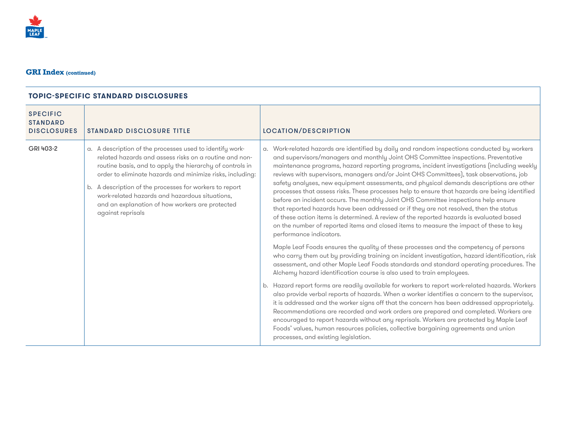

| a. Work-related hazards are identified by daily and random inspections conducted by workers<br>and supervisors/managers and monthly Joint OHS Committee inspections. Preventative<br>maintenance programs, hazard reporting programs, incident investigations (including weekly<br>reviews with supervisors, managers and/or Joint OHS Committees), task observations, job<br>safety analyses, new equipment assessments, and physical demands descriptions are other<br>processes that assess risks. These processes help to ensure that hazards are being identified<br>before an incident occurs. The monthly Joint OHS Committee inspections help ensure<br>that reported hazards have been addressed or if they are not resolved, then the status<br>of these action items is determined. A review of the reported hazards is evaluated based<br>on the number of reported items and closed items to measure the impact of these to key<br>Maple Leaf Foods ensures the quality of these processes and the competency of persons<br>who carry them out by providing training on incident investigation, hazard identification, risk<br>assessment, and other Maple Leaf Foods standards and standard operating procedures. The<br>Alchemy hazard identification course is also used to train employees.<br>b. Hazard report forms are readily available for workers to report work-related hazards. Workers<br>also provide verbal reports of hazards. When a worker identifies a concern to the supervisor,<br>it is addressed and the worker signs off that the concern has been addressed appropriately.<br>Recommendations are recorded and work orders are prepared and completed. Workers are<br>encouraged to report hazards without any reprisals. Workers are protected by Maple Leaf<br>Foods' values, human resources policies, collective bargaining agreements and union |
|--------------------------------------------------------------------------------------------------------------------------------------------------------------------------------------------------------------------------------------------------------------------------------------------------------------------------------------------------------------------------------------------------------------------------------------------------------------------------------------------------------------------------------------------------------------------------------------------------------------------------------------------------------------------------------------------------------------------------------------------------------------------------------------------------------------------------------------------------------------------------------------------------------------------------------------------------------------------------------------------------------------------------------------------------------------------------------------------------------------------------------------------------------------------------------------------------------------------------------------------------------------------------------------------------------------------------------------------------------------------------------------------------------------------------------------------------------------------------------------------------------------------------------------------------------------------------------------------------------------------------------------------------------------------------------------------------------------------------------------------------------------------------------------------------------------------------------------------------------------------------------------------|
|                                                                                                                                                                                                                                                                                                                                                                                                                                                                                                                                                                                                                                                                                                                                                                                                                                                                                                                                                                                                                                                                                                                                                                                                                                                                                                                                                                                                                                                                                                                                                                                                                                                                                                                                                                                                                                                                                            |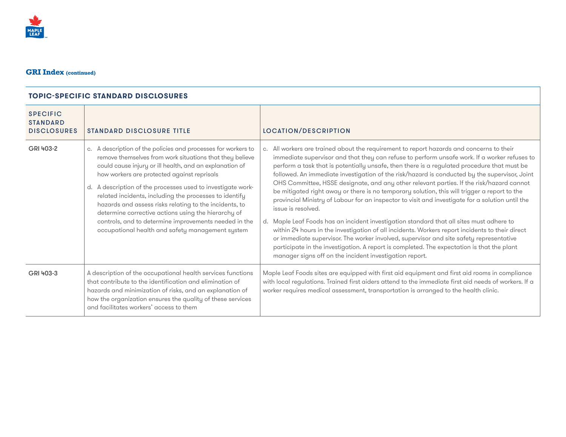

| <b>SPECIFIC</b><br><b>STANDARD</b><br><b>DISCLOSURES</b> | <b>STANDARD DISCLOSURE TITLE</b>                                                                                                                                                                                                                                                                                                                                                                                                                                                                                                                                                              | LOCATION/DESCRIPTION                                                                                                                                                                                                                                                                                                                                                                                                                                                                                                                                                                                                                                                                                                                                                                                                                                                                                                                                                                                                                                                                                                                                              |
|----------------------------------------------------------|-----------------------------------------------------------------------------------------------------------------------------------------------------------------------------------------------------------------------------------------------------------------------------------------------------------------------------------------------------------------------------------------------------------------------------------------------------------------------------------------------------------------------------------------------------------------------------------------------|-------------------------------------------------------------------------------------------------------------------------------------------------------------------------------------------------------------------------------------------------------------------------------------------------------------------------------------------------------------------------------------------------------------------------------------------------------------------------------------------------------------------------------------------------------------------------------------------------------------------------------------------------------------------------------------------------------------------------------------------------------------------------------------------------------------------------------------------------------------------------------------------------------------------------------------------------------------------------------------------------------------------------------------------------------------------------------------------------------------------------------------------------------------------|
| GRI 403-2                                                | A description of the policies and processes for workers to<br>C.<br>remove themselves from work situations that they believe<br>could cause injury or ill health, and an explanation of<br>how workers are protected against reprisals<br>d. A description of the processes used to investigate work-<br>related incidents, including the processes to identify<br>hazards and assess risks relating to the incidents, to<br>determine corrective actions using the hierarchy of<br>controls, and to determine improvements needed in the<br>occupational health and safety management system | c. All workers are trained about the requirement to report hazards and concerns to their<br>immediate supervisor and that they can refuse to perform unsafe work. If a worker refuses to<br>perform a task that is potentially unsafe, then there is a regulated procedure that must be<br>followed. An immediate investigation of the risk/hazard is conducted by the supervisor, Joint<br>OHS Committee, HSSE designate, and any other relevant parties. If the risk/hazard cannot<br>be mitigated right away or there is no temporary solution, this will trigger a report to the<br>provincial Ministry of Labour for an inspector to visit and investigate for a solution until the<br>issue is resolved.<br>d. Maple Leaf Foods has an incident investigation standard that all sites must adhere to<br>within 24 hours in the investigation of all incidents. Workers report incidents to their direct<br>or immediate supervisor. The worker involved, supervisor and site safety representative<br>participate in the investigation. A report is completed. The expectation is that the plant<br>manager signs off on the incident investigation report. |
| GRI 403-3                                                | A description of the occupational health services functions<br>that contribute to the identification and elimination of<br>hazards and minimization of risks, and an explanation of<br>how the organization ensures the quality of these services<br>and facilitates workers' access to them                                                                                                                                                                                                                                                                                                  | Maple Leaf Foods sites are equipped with first aid equipment and first aid rooms in compliance<br>with local regulations. Trained first aiders attend to the immediate first aid needs of workers. If a<br>worker requires medical assessment, transportation is arranged to the health clinic.                                                                                                                                                                                                                                                                                                                                                                                                                                                                                                                                                                                                                                                                                                                                                                                                                                                                   |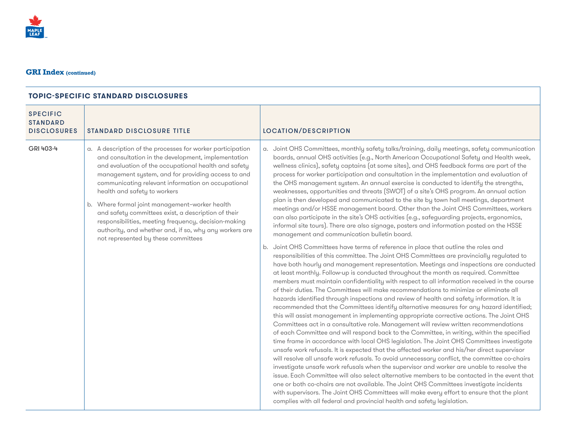| <b>SPECIFIC</b><br><b>STANDARD</b><br><b>DISCLOSURES</b> | <b>STANDARD DISCLOSURE TITLE</b>                                                                                                                                                                                                                                                                                                                                                                                                                                                                                                                                                        | <b>LOCATION/DESCRIPTION</b>                                                                                                                                                                                                                                                                                                                                                                                                                                                                                                                                                                                                                                                                                                                                                                                                                                                                                                                                                                                                                                                                                                                                                                                                                                                                                                                                                                                                                                                                                                                                                                                                                                                                                                                                                                                                                                                                                                                                                                                                                                                                                                                                                                                                                                                                                                                                                                                                                                                                                                                                                                                                                                                                                                                                                                                   |
|----------------------------------------------------------|-----------------------------------------------------------------------------------------------------------------------------------------------------------------------------------------------------------------------------------------------------------------------------------------------------------------------------------------------------------------------------------------------------------------------------------------------------------------------------------------------------------------------------------------------------------------------------------------|---------------------------------------------------------------------------------------------------------------------------------------------------------------------------------------------------------------------------------------------------------------------------------------------------------------------------------------------------------------------------------------------------------------------------------------------------------------------------------------------------------------------------------------------------------------------------------------------------------------------------------------------------------------------------------------------------------------------------------------------------------------------------------------------------------------------------------------------------------------------------------------------------------------------------------------------------------------------------------------------------------------------------------------------------------------------------------------------------------------------------------------------------------------------------------------------------------------------------------------------------------------------------------------------------------------------------------------------------------------------------------------------------------------------------------------------------------------------------------------------------------------------------------------------------------------------------------------------------------------------------------------------------------------------------------------------------------------------------------------------------------------------------------------------------------------------------------------------------------------------------------------------------------------------------------------------------------------------------------------------------------------------------------------------------------------------------------------------------------------------------------------------------------------------------------------------------------------------------------------------------------------------------------------------------------------------------------------------------------------------------------------------------------------------------------------------------------------------------------------------------------------------------------------------------------------------------------------------------------------------------------------------------------------------------------------------------------------------------------------------------------------------------------------------------------------|
| GRI 403-4                                                | a. A description of the processes for worker participation<br>and consultation in the development, implementation<br>and evaluation of the occupational health and safety<br>management system, and for providing access to and<br>communicating relevant information on occupational<br>health and safety to workers<br>b. Where formal joint management-worker health<br>and safety committees exist, a description of their<br>responsibilities, meeting frequency, decision-making<br>authority, and whether and, if so, why any workers are<br>not represented by these committees | a. Joint OHS Committees, monthly safety talks/training, daily meetings, safety communication<br>boards, annual OHS activities (e.g., North American Occupational Safety and Health week,<br>wellness clinics), safety captains (at some sites), and OHS feedback forms are part of the<br>process for worker participation and consultation in the implementation and evaluation of<br>the OHS management system. An annual exercise is conducted to identify the strengths,<br>weaknesses, opportunities and threats (SWOT) of a site's OHS program. An annual action<br>plan is then developed and communicated to the site by town hall meetings, department<br>meetings and/or HSSE management board. Other than the Joint OHS Committees, workers<br>can also participate in the site's OHS activities (e.g., safeguarding projects, ergonomics,<br>informal site tours). There are also signage, posters and information posted on the HSSE<br>management and communication bulletin board.<br>b. Joint OHS Committees have terms of reference in place that outline the roles and<br>responsibilities of this committee. The Joint OHS Committees are provincially regulated to<br>have both hourly and management representation. Meetings and inspections are conducted<br>at least monthly. Follow-up is conducted throughout the month as required. Committee<br>members must maintain confidentiality with respect to all information received in the course<br>of their duties. The Committees will make recommendations to minimize or eliminate all<br>hazards identified through inspections and review of health and safety information. It is<br>recommended that the Committees identify alternative measures for any hazard identified;<br>this will assist management in implementing appropriate corrective actions. The Joint OHS<br>Committees act in a consultative role. Management will review written recommendations<br>of each Committee and will respond back to the Committee, in writing, within the specified<br>time frame in accordance with local OHS legislation. The Joint OHS Committees investigate<br>unsafe work refusals. It is expected that the affected worker and his/her direct supervisor<br>will resolve all unsafe work refusals. To avoid unnecessary conflict, the committee co-chairs<br>investigate unsafe work refusals when the supervisor and worker are unable to resolve the<br>issue. Each Committee will also select alternative members to be contacted in the event that<br>one or both co-chairs are not available. The Joint OHS Committees investigate incidents<br>with supervisors. The Joint OHS Committees will make every effort to ensure that the plant<br>complies with all federal and provincial health and safety legislation. |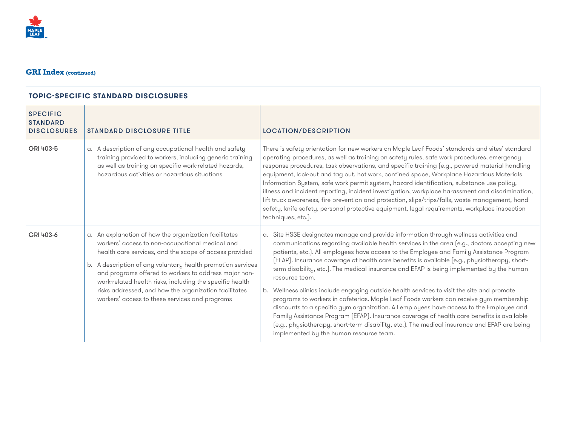

| <b>SPECIFIC</b><br><b>STANDARD</b><br><b>DISCLOSURES</b> | <b>STANDARD DISCLOSURE TITLE</b>                                                                                                                                                                                                                                                                                                                                                                                                                                     | LOCATION/DESCRIPTION                                                                                                                                                                                                                                                                                                                                                                                                                                                                                                                                                                                                                                                                                                                                                                                                                                                                                                                                                                                                       |
|----------------------------------------------------------|----------------------------------------------------------------------------------------------------------------------------------------------------------------------------------------------------------------------------------------------------------------------------------------------------------------------------------------------------------------------------------------------------------------------------------------------------------------------|----------------------------------------------------------------------------------------------------------------------------------------------------------------------------------------------------------------------------------------------------------------------------------------------------------------------------------------------------------------------------------------------------------------------------------------------------------------------------------------------------------------------------------------------------------------------------------------------------------------------------------------------------------------------------------------------------------------------------------------------------------------------------------------------------------------------------------------------------------------------------------------------------------------------------------------------------------------------------------------------------------------------------|
| GRI 403-5                                                | a. A description of any occupational health and safety<br>training provided to workers, including generic training<br>as well as training on specific work-related hazards,<br>hazardous activities or hazardous situations                                                                                                                                                                                                                                          | There is safety orientation for new workers on Maple Leaf Foods' standards and sites' standard<br>operating procedures, as well as training on safety rules, safe work procedures, emergency<br>response procedures, task observations, and specific training (e.g., powered material handling<br>equipment, lock-out and tag out, hot work, confined space, Workplace Hazardous Materials<br>Information System, safe work permit system, hazard identification, substance use policy,<br>illness and incident reporting, incident investigation, workplace harassment and discrimination,<br>lift truck awareness, fire prevention and protection, slips/trips/falls, waste management, hand<br>safety, knife safety, personal protective equipment, legal requirements, workplace inspection<br>techniques, etc.).                                                                                                                                                                                                      |
| GRI 403-6                                                | a. An explanation of how the organization facilitates<br>workers' access to non-occupational medical and<br>health care services, and the scope of access provided<br>A description of any voluntary health promotion services<br>b.<br>and programs offered to workers to address major non-<br>work-related health risks, including the specific health<br>risks addressed, and how the organization facilitates<br>workers' access to these services and programs | a. Site HSSE designates manage and provide information through wellness activities and<br>communications regarding available health services in the area (e.g., doctors accepting new<br>patients, etc.). All employees have access to the Employee and Family Assistance Program<br>(EFAP). Insurance coverage of health care benefits is available (e.g., physiotherapy, short-<br>term disability, etc.). The medical insurance and EFAP is being implemented by the human<br>resource team.<br>b. Wellness clinics include engaging outside health services to visit the site and promote<br>programs to workers in cafeterias. Maple Leaf Foods workers can receive gym membership<br>discounts to a specific gym organization. All employees have access to the Employee and<br>Family Assistance Program (EFAP). Insurance coverage of health care benefits is available<br>(e.g., physiotherapy, short-term disability, etc.). The medical insurance and EFAP are being<br>implemented by the human resource team. |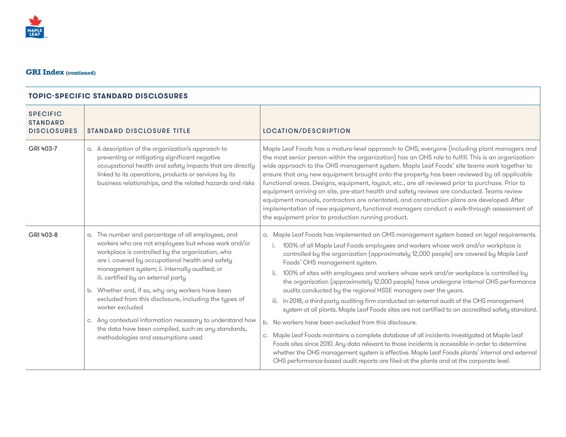

| <b>SPECIFIC</b><br><b>STANDARD</b><br><b>DISCLOSURES</b> | <b>STANDARD DISCLOSURE TITLE</b>                                                                                                                                                                                                                                                                                                                                                                                                                                                                                                                                                                       | LOCATION/DESCRIPTION                                                                                                                                                                                                                                                                                                                                                                                                                                                                                                                                                                                                                                                                                                                                                                                                                                                                                                                                                                                                                                                                                                                                                                                                                       |
|----------------------------------------------------------|--------------------------------------------------------------------------------------------------------------------------------------------------------------------------------------------------------------------------------------------------------------------------------------------------------------------------------------------------------------------------------------------------------------------------------------------------------------------------------------------------------------------------------------------------------------------------------------------------------|--------------------------------------------------------------------------------------------------------------------------------------------------------------------------------------------------------------------------------------------------------------------------------------------------------------------------------------------------------------------------------------------------------------------------------------------------------------------------------------------------------------------------------------------------------------------------------------------------------------------------------------------------------------------------------------------------------------------------------------------------------------------------------------------------------------------------------------------------------------------------------------------------------------------------------------------------------------------------------------------------------------------------------------------------------------------------------------------------------------------------------------------------------------------------------------------------------------------------------------------|
| GRI 403-7                                                | a. A description of the organization's approach to<br>preventing or mitigating significant negative<br>occupational health and safety impacts that are directly<br>linked to its operations, products or services by its<br>business relationships, and the related hazards and risks                                                                                                                                                                                                                                                                                                                  | Maple Leaf Foods has a mature-level approach to OHS; everyone (including plant managers and<br>the most senior person within the organization) has an OHS role to fulfill. This is an organization-<br>wide approach to the OHS management system. Maple Leaf Foods' site teams work together to<br>ensure that any new equipment brought onto the property has been reviewed by all applicable<br>functional areas. Designs, equipment, layout, etc., are all reviewed prior to purchase. Prior to<br>equipment arriving on site, pre-start health and safety reviews are conducted. Teams review<br>equipment manuals, contractors are orientated, and construction plans are developed. After<br>implementation of new equipment, functional managers conduct a walk-through assessment of<br>the equipment prior to production running product.                                                                                                                                                                                                                                                                                                                                                                                        |
| GRI 403-8                                                | a. The number and percentage of all employees, and<br>workers who are not employees but whose work and/or<br>workplace is controlled by the organization, who<br>are i. covered by occupational health and safety<br>management system; ii. internally audited; or<br>iii. certified by an external party<br>b. Whether and, if so, why any workers have been<br>excluded from this disclosure, including the types of<br>worker excluded<br>Any contextual information necessary to understand how<br>C.<br>the data have been compiled, such as any standards,<br>methodologies and assumptions used | a. Maple Leaf Foods has implemented an OHS management system based on legal requirements.<br>100% of all Maple Leaf Foods employees and workers whose work and/or workplace is<br>i.<br>controlled by the organization (approximately 12,000 people) are covered by Maple Leaf<br>Foods' OHS management system.<br>100% of sites with employees and workers whose work and/or workplace is controlled by<br>ii.<br>the organization (approximately 12,000 people) have undergone internal OHS performance<br>audits conducted by the regional HSSE managers over the years.<br>iii. In 2018, a third-party auditing firm conducted an external audit of the OHS management<br>system at all plants. Maple Leaf Foods sites are not certified to an accredited safety standard.<br>b. No workers have been excluded from this disclosure.<br>c. Maple Leaf Foods maintains a complete database of all incidents investigated at Maple Leaf<br>Foods sites since 2010. Any data relevant to those incidents is accessible in order to determine<br>whether the OHS management system is effective. Maple Leaf Foods plants' internal and external<br>OHS performance-based audit reports are filed at the plants and at the corporate level. |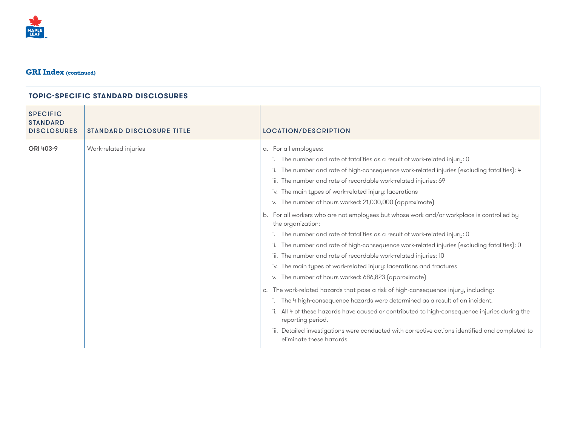

| <b>SPECIFIC</b><br><b>STANDARD</b><br><b>DISCLOSURES</b> | <b>STANDARD DISCLOSURE TITLE</b> | <b>LOCATION/DESCRIPTION</b>                                                                                                                                                                                                                                                                                                                                                                                                                                                                                                                                                                                                                                                                                                                                                                                                                                                                                                                                                                                                                                                                                                                                                                                                                                                                                              |
|----------------------------------------------------------|----------------------------------|--------------------------------------------------------------------------------------------------------------------------------------------------------------------------------------------------------------------------------------------------------------------------------------------------------------------------------------------------------------------------------------------------------------------------------------------------------------------------------------------------------------------------------------------------------------------------------------------------------------------------------------------------------------------------------------------------------------------------------------------------------------------------------------------------------------------------------------------------------------------------------------------------------------------------------------------------------------------------------------------------------------------------------------------------------------------------------------------------------------------------------------------------------------------------------------------------------------------------------------------------------------------------------------------------------------------------|
| GRI 403-9                                                | Work-related injuries            | a. For all employees:<br>The number and rate of fatalities as a result of work-related injury: 0<br>ii. The number and rate of high-consequence work-related injuries (excluding fatalities): 4<br>iii. The number and rate of recordable work-related injuries: 69<br>iv. The main types of work-related injury: lacerations<br>v. The number of hours worked: 21,000,000 (approximate)<br>b. For all workers who are not employees but whose work and/or workplace is controlled by<br>the organization:<br>i. The number and rate of fatalities as a result of work-related injury: 0<br>ii. The number and rate of high-consequence work-related injuries (excluding fatalities): 0<br>iii. The number and rate of recordable work-related injuries: 10<br>iv. The main types of work-related injury: lacerations and fractures<br>v. The number of hours worked: 686,823 (approximate)<br>The work-related hazards that pose a risk of high-consequence injury, including:<br>C.<br>The 4 high-consequence hazards were determined as a result of an incident.<br>ii. All 4 of these hazards have caused or contributed to high-consequence injuries during the<br>reporting period.<br>iii. Detailed investigations were conducted with corrective actions identified and completed to<br>eliminate these hazards. |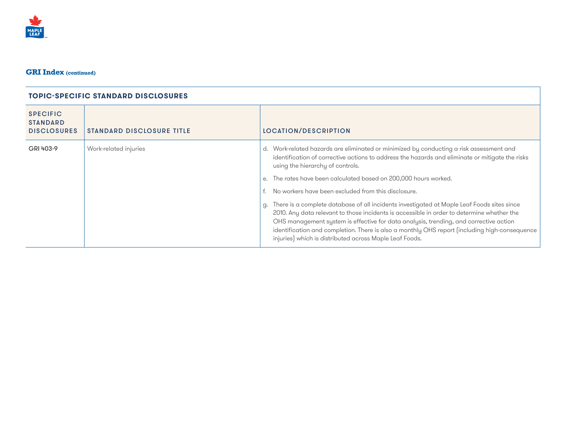

| <b>SPECIFIC</b><br><b>STANDARD</b><br><b>DISCLOSURES</b> | <b>STANDARD DISCLOSURE TITLE</b> | LOCATION/DESCRIPTION                                                                                                                                                                                                                                                                                                                                                                                                                                                                                                                                                                                                                                                                                                                                                                                          |
|----------------------------------------------------------|----------------------------------|---------------------------------------------------------------------------------------------------------------------------------------------------------------------------------------------------------------------------------------------------------------------------------------------------------------------------------------------------------------------------------------------------------------------------------------------------------------------------------------------------------------------------------------------------------------------------------------------------------------------------------------------------------------------------------------------------------------------------------------------------------------------------------------------------------------|
| GRI 403-9                                                | Work-related injuries            | d. Work-related hazards are eliminated or minimized by conducting a risk assessment and<br>identification of corrective actions to address the hazards and eliminate or mitigate the risks<br>using the hierarchy of controls.<br>e. The rates have been calculated based on 200,000 hours worked.<br>No workers have been excluded from this disclosure.<br>g. There is a complete database of all incidents investigated at Maple Leaf Foods sites since<br>2010. Any data relevant to those incidents is accessible in order to determine whether the<br>OHS management system is effective for data analysis, trending, and corrective action<br>identification and completion. There is also a monthly OHS report (including high-consequence<br>injuries) which is distributed across Maple Leaf Foods. |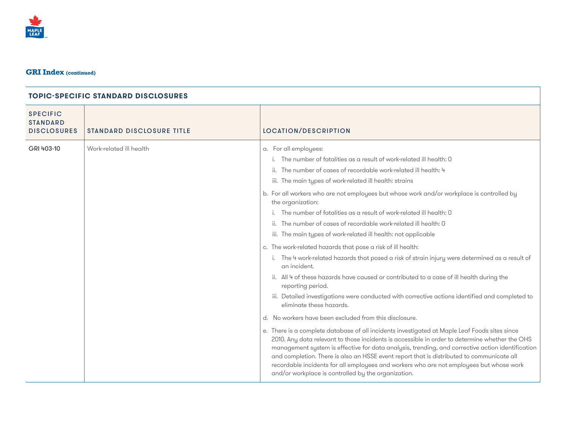

| <b>SPECIFIC</b><br><b>STANDARD</b><br><b>DISCLOSURES</b> | <b>STANDARD DISCLOSURE TITLE</b> | LOCATION/DESCRIPTION                                                                                                                                                                                                                                                                                                                                                                                                                                                                                                                                                                                                                                                                                                                                                                                                                                                                                                                                                                                                                                                                                                                                                                                                                                                                                                                                                                                                                                                                                                                                                                                             |
|----------------------------------------------------------|----------------------------------|------------------------------------------------------------------------------------------------------------------------------------------------------------------------------------------------------------------------------------------------------------------------------------------------------------------------------------------------------------------------------------------------------------------------------------------------------------------------------------------------------------------------------------------------------------------------------------------------------------------------------------------------------------------------------------------------------------------------------------------------------------------------------------------------------------------------------------------------------------------------------------------------------------------------------------------------------------------------------------------------------------------------------------------------------------------------------------------------------------------------------------------------------------------------------------------------------------------------------------------------------------------------------------------------------------------------------------------------------------------------------------------------------------------------------------------------------------------------------------------------------------------------------------------------------------------------------------------------------------------|
| GRI 403-10                                               | Work-related ill health          | a. For all employees:<br>The number of fatalities as a result of work-related ill health: 0<br>ii. The number of cases of recordable work-related ill health: 4<br>iii. The main types of work-related ill health: strains<br>b. For all workers who are not employees but whose work and/or workplace is controlled by<br>the organization:<br>i. The number of fatalities as a result of work-related ill health: 0<br>ii. The number of cases of recordable work-related ill health: 0<br>iii. The main types of work-related ill health: not applicable<br>c. The work-related hazards that pose a risk of ill health:<br>The 4 work-related hazards that posed a risk of strain injury were determined as a result of<br>i.<br>an incident.<br>ii. All 4 of these hazards have caused or contributed to a case of ill health during the<br>reporting period.<br>iii. Detailed investigations were conducted with corrective actions identified and completed to<br>eliminate these hazards.<br>d. No workers have been excluded from this disclosure.<br>e. There is a complete database of all incidents investigated at Maple Leaf Foods sites since<br>2010. Any data relevant to those incidents is accessible in order to determine whether the OHS<br>management system is effective for data analysis, trending, and corrective action identification<br>and completion. There is also an HSSE event report that is distributed to communicate all<br>recordable incidents for all employees and workers who are not employees but whose work<br>and/or workplace is controlled by the organization. |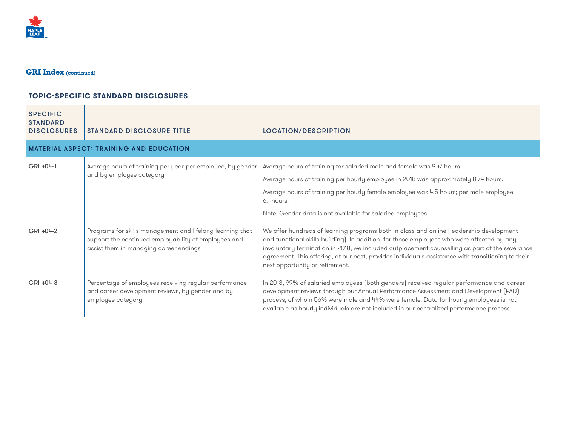

#### **TOPIC-SPECIFIC STANDARD DISCLOSURES** SPECIFIC **STANDARD** DISCLOSURES STANDARD DISCLOSURE TITLE LOCATION/DESCRIPTION **MATERIAL ASPECT: TRAINING AND EDUCATION** GRI 404-1 Average hours of training per year per employee, by gender and by employee category Average hours of training for salaried male and female was 9.47 hours. Average hours of training per hourly employee in 2018 was approximately 8.74 hours. Average hours of training per hourly female employee was 4.5 hours; per male employee, 6.1hours. Note: Gender data is not available for salaried employees. GRI 404-2 Programs for skills management and lifelong learning that support the continued employability of employees and assist them in managing career endings We offer hundreds of learning programs both in-class and online (leadership development and functional skills building). In addition, for those employees who were affected by any involuntary termination in 2018, we included outplacement counselling as part of the severance agreement. This offering, at our cost, provides individuals assistance with transitioning to their next opportunity or retirement. GRI 404-3 Percentage of employees receiving regular performance and career development reviews, by gender and by employee category In 2018, 99% of salaried employees (both genders) received regular performance and career development reviews through our Annual Performance Assessment and Development (PAD) process, of whom 56% were male and 44% were female. Data for hourly employees is not available as hourly individuals are not included in our centralized performance process.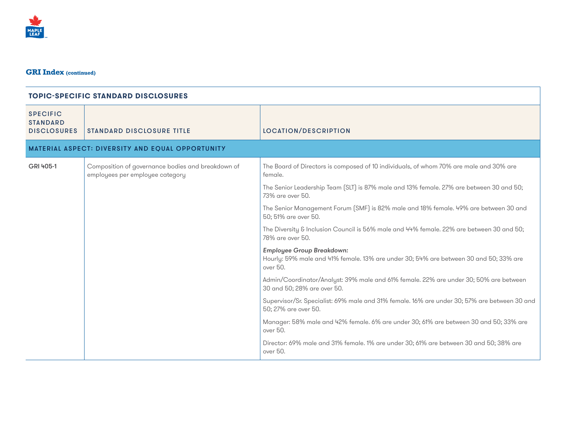

| <b>SPECIFIC</b><br><b>STANDARD</b><br><b>DISCLOSURES</b> | <b>STANDARD DISCLOSURE TITLE</b>                                                     | <b>LOCATION/DESCRIPTION</b>                                                                                                           |
|----------------------------------------------------------|--------------------------------------------------------------------------------------|---------------------------------------------------------------------------------------------------------------------------------------|
|                                                          | MATERIAL ASPECT: DIVERSITY AND EQUAL OPPORTUNITY                                     |                                                                                                                                       |
| GRI 405-1                                                | Composition of governance bodies and breakdown of<br>employees per employee category | The Board of Directors is composed of 10 individuals, of whom 70% are male and 30% are<br>female.                                     |
|                                                          |                                                                                      | The Senior Leadership Team (SLT) is 87% male and 13% female. 27% are between 30 and 50;<br>73% are over 50.                           |
|                                                          |                                                                                      | The Senior Management Forum (SMF) is 82% male and 18% female. 49% are between 30 and<br>50: 51% are over 50.                          |
|                                                          |                                                                                      | The Diversity & Inclusion Council is 56% male and 44% female. 22% are between 30 and 50;<br>78% are over 50.                          |
|                                                          |                                                                                      | <b>Employee Group Breakdown:</b><br>Hourly: 59% male and 41% female. 13% are under 30; 54% are between 30 and 50; 33% are<br>over 50. |
|                                                          |                                                                                      | Admin/Coordinator/Analyst: 39% male and 61% female. 22% are under 30; 50% are between<br>30 and 50; 28% are over 50.                  |
|                                                          |                                                                                      | Supervisor/Sr. Specialist: 69% male and 31% female. 16% are under 30; 57% are between 30 and<br>50; 27% are over 50.                  |
|                                                          |                                                                                      | Manager: 58% male and 42% female. 6% are under 30; 61% are between 30 and 50; 33% are<br>over 50.                                     |
|                                                          |                                                                                      | Director: 69% male and 31% female. 1% are under 30; 61% are between 30 and 50; 38% are<br>over 50.                                    |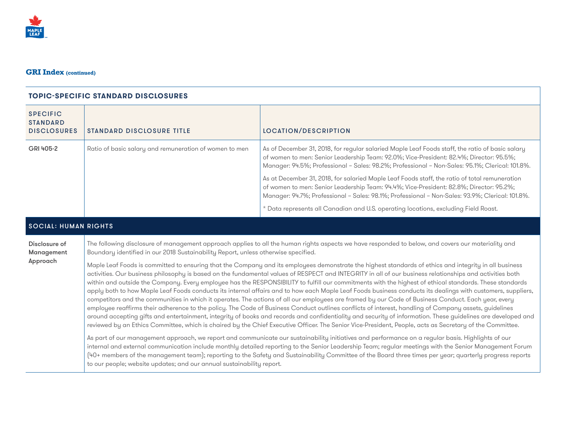

#### **TOPIC-SPECIFIC STANDARD DISCLOSURES**

| <b>SPECIFIC</b><br><b>STANDARD</b><br><b>DISCLOSURES</b> | <b>STANDARD DISCLOSURE TITLE</b>                       | <b>LOCATION/DESCRIPTION</b>                                                                                                                                                                                                                                                                   |
|----------------------------------------------------------|--------------------------------------------------------|-----------------------------------------------------------------------------------------------------------------------------------------------------------------------------------------------------------------------------------------------------------------------------------------------|
| GRI 405-2                                                | Ratio of basic salary and remuneration of women to men | As of December 31, 2018, for regular salaried Maple Leaf Foods staff, the ratio of basic salary<br>of women to men: Senior Leadership Team: 92.0%; Vice-President: 82.4%; Director: 95.5%;<br>Manager: 94.5%; Professional - Sales: 98.2%; Professional - Non-Sales: 95.1%; Clerical: 101.8%. |
|                                                          |                                                        | As at December 31, 2018, for salaried Maple Leaf Foods staff, the ratio of total remuneration<br>of women to men: Senior Leadership Team: 94.4%; Vice-President: 82.8%; Director: 95.2%;<br>Manager: 94.7%; Professional - Sales: 98.1%; Professional - Non-Sales: 93.9%; Clerical: 101.8%.   |
|                                                          |                                                        | * Data represents all Canadian and U.S. operating locations, excluding Field Roast.                                                                                                                                                                                                           |

#### SOCIAL: HUMAN RIGHTS

Disclosure of The following disclosure of management approach applies to all the human rights aspects we have responded to below, and covers our materiality and Management Boundary identified in our 2018 Sustainability Report, unless otherwise specified.

Approach Maple Leaf Foods is committed to ensuring that the Company and its employees demonstrate the highest standards of ethics and integrity in all business activities. Our business philosophy is based on the fundamental values of RESPECT and INTEGRITY in all of our business relationships and activities both within and outside the Company. Every employee has the RESPONSIBILITY to fulfill our commitments with the highest of ethical standards. These standards apply both to how Maple Leaf Foods conducts its internal affairs and to how each Maple Leaf Foods business conducts its dealings with customers, suppliers, competitors and the communities in which it operates. The actions of all our employees are framed by our Code of Business Conduct. Each year, every employee reaffirms their adherence to the policy. The Code of Business Conduct outlines conflicts of interest, handling of Company assets, guidelines around accepting gifts and entertainment, integrity of books and records and confidentiality and security of information. These guidelines are developed and reviewed by an Ethics Committee, which is chaired by the Chief Executive Officer. The Senior Vice-President, People, acts as Secretary of the Committee.

> As part of our management approach, we report and communicate our sustainability initiatives and performance on a regular basis. Highlights of our internal and external communication include monthly detailed reporting to the Senior Leadership Team; regular meetings with the Senior Management Forum (40+ members of the management team); reporting to the Safety and Sustainability Committee of the Board three times per year; quarterly progress reports to our people; website updates; and our annual sustainability report.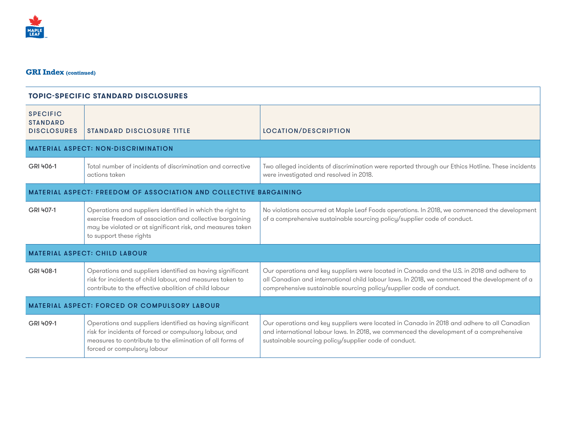

| <b>TOPIC-SPECIFIC STANDARD DISCLOSURES</b>                               |                                                                                                                                                                                                                 |                                                                                                                                                                                                                                                                   |
|--------------------------------------------------------------------------|-----------------------------------------------------------------------------------------------------------------------------------------------------------------------------------------------------------------|-------------------------------------------------------------------------------------------------------------------------------------------------------------------------------------------------------------------------------------------------------------------|
| <b>SPECIFIC</b><br><b>STANDARD</b><br><b>DISCLOSURES</b>                 | <b>STANDARD DISCLOSURE TITLE</b>                                                                                                                                                                                | <b>LOCATION/DESCRIPTION</b>                                                                                                                                                                                                                                       |
|                                                                          | <b>MATERIAL ASPECT: NON-DISCRIMINATION</b>                                                                                                                                                                      |                                                                                                                                                                                                                                                                   |
| GRI 406-1                                                                | Total number of incidents of discrimination and corrective<br>actions taken                                                                                                                                     | Two alleged incidents of discrimination were reported through our Ethics Hotline. These incidents<br>were investigated and resolved in 2018.                                                                                                                      |
| <b>MATERIAL ASPECT: FREEDOM OF ASSOCIATION AND COLLECTIVE BARGAINING</b> |                                                                                                                                                                                                                 |                                                                                                                                                                                                                                                                   |
| GRI 407-1                                                                | Operations and suppliers identified in which the right to<br>exercise freedom of association and collective bargaining<br>may be violated or at significant risk, and measures taken<br>to support these rights | No violations occurred at Maple Leaf Foods operations. In 2018, we commenced the development<br>of a comprehensive sustainable sourcing policy/supplier code of conduct.                                                                                          |
|                                                                          | <b>MATERIAL ASPECT: CHILD LABOUR</b>                                                                                                                                                                            |                                                                                                                                                                                                                                                                   |
| GRI 408-1                                                                | Operations and suppliers identified as having significant<br>risk for incidents of child labour, and measures taken to<br>contribute to the effective abolition of child labour                                 | Our operations and key suppliers were located in Canada and the U.S. in 2018 and adhere to<br>all Canadian and international child labour laws. In 2018, we commenced the development of a<br>comprehensive sustainable sourcing policy/supplier code of conduct. |
| <b>MATERIAL ASPECT: FORCED OR COMPULSORY LABOUR</b>                      |                                                                                                                                                                                                                 |                                                                                                                                                                                                                                                                   |
| GRI 409-1                                                                | Operations and suppliers identified as having significant<br>risk for incidents of forced or compulsory labour, and<br>measures to contribute to the elimination of all forms of<br>forced or compulsory labour | Our operations and key suppliers were located in Canada in 2018 and adhere to all Canadian<br>and international labour laws. In 2018, we commenced the development of a comprehensive<br>sustainable sourcing policy/supplier code of conduct.                    |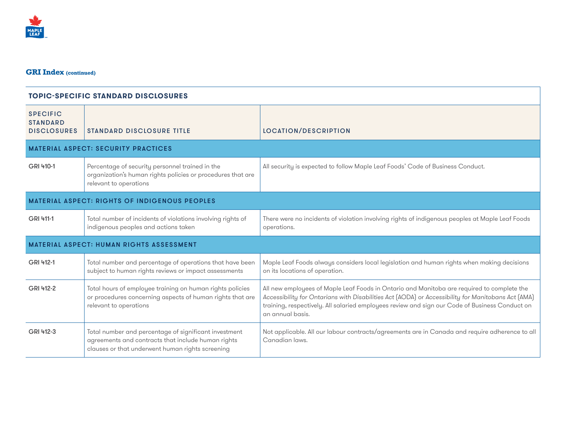

| <b>TOPIC-SPECIFIC STANDARD DISCLOSURES</b>               |                                                                                                                                                                 |                                                                                                                                                                                                                                                                                                                        |
|----------------------------------------------------------|-----------------------------------------------------------------------------------------------------------------------------------------------------------------|------------------------------------------------------------------------------------------------------------------------------------------------------------------------------------------------------------------------------------------------------------------------------------------------------------------------|
| <b>SPECIFIC</b><br><b>STANDARD</b><br><b>DISCLOSURES</b> | <b>STANDARD DISCLOSURE TITLE</b>                                                                                                                                | LOCATION/DESCRIPTION                                                                                                                                                                                                                                                                                                   |
|                                                          | <b>MATERIAL ASPECT: SECURITY PRACTICES</b>                                                                                                                      |                                                                                                                                                                                                                                                                                                                        |
| GRI 410-1                                                | Percentage of security personnel trained in the<br>organization's human rights policies or procedures that are<br>relevant to operations                        | All security is expected to follow Maple Leaf Foods' Code of Business Conduct.                                                                                                                                                                                                                                         |
|                                                          | <b>MATERIAL ASPECT: RIGHTS OF INDIGENOUS PEOPLES</b>                                                                                                            |                                                                                                                                                                                                                                                                                                                        |
| GRI 411-1                                                | Total number of incidents of violations involving rights of<br>indigenous peoples and actions taken                                                             | There were no incidents of violation involving rights of indigenous peoples at Maple Leaf Foods<br>operations.                                                                                                                                                                                                         |
|                                                          | <b>MATERIAL ASPECT: HUMAN RIGHTS ASSESSMENT</b>                                                                                                                 |                                                                                                                                                                                                                                                                                                                        |
| GRI 412-1                                                | Total number and percentage of operations that have been<br>subject to human rights reviews or impact assessments                                               | Maple Leaf Foods always considers local legislation and human rights when making decisions<br>on its locations of operation.                                                                                                                                                                                           |
| GRI 412-2                                                | Total hours of employee training on human rights policies<br>or procedures concerning aspects of human rights that are<br>relevant to operations                | All new employees of Maple Leaf Foods in Ontario and Manitoba are required to complete the<br>Accessibility for Ontarians with Disabilities Act (AODA) or Accessibility for Manitobans Act (AMA)<br>training, respectively. All salaried employees review and sign our Code of Business Conduct on<br>an annual basis. |
| GRI 412-3                                                | Total number and percentage of significant investment<br>agreements and contracts that include human rights<br>clauses or that underwent human rights screening | Not applicable. All our labour contracts/agreements are in Canada and require adherence to all<br>Canadian laws.                                                                                                                                                                                                       |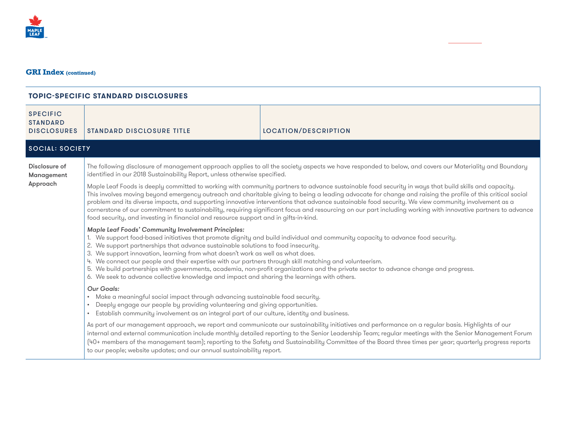

| <b>SPECIFIC</b><br><b>STANDARD</b><br><b>DISCLOSURES</b> | <b>STANDARD DISCLOSURE TITLE</b>                                                                                                                                                                                                                                                                                                                                                                                                                                                                                                                                                                                                                                                                                                    | LOCATION/DESCRIPTION |  |
|----------------------------------------------------------|-------------------------------------------------------------------------------------------------------------------------------------------------------------------------------------------------------------------------------------------------------------------------------------------------------------------------------------------------------------------------------------------------------------------------------------------------------------------------------------------------------------------------------------------------------------------------------------------------------------------------------------------------------------------------------------------------------------------------------------|----------------------|--|
| <b>SOCIAL: SOCIETY</b>                                   |                                                                                                                                                                                                                                                                                                                                                                                                                                                                                                                                                                                                                                                                                                                                     |                      |  |
| Disclosure of<br>Management                              | The following disclosure of management approach applies to all the society aspects we have responded to below, and covers our Materiality and Boundary<br>identified in our 2018 Sustainability Report, unless otherwise specified.                                                                                                                                                                                                                                                                                                                                                                                                                                                                                                 |                      |  |
| Approach                                                 | Maple Leaf Foods is deeply committed to working with community partners to advance sustainable food security in ways that build skills and capacity.<br>This involves moving beyond emergency outreach and charitable giving to being a leading advocate for change and raising the profile of this critical social<br>problem and its diverse impacts, and supporting innovative interventions that advance sustainable food security. We view community involvement as a<br>cornerstone of our commitment to sustainability, requiring significant focus and resourcing on our part including working with innovative partners to advance<br>food security, and investing in financial and resource support and in gifts-in-kind. |                      |  |
|                                                          | Maple Leaf Foods' Community Involvement Principles:<br>1. We support food-based initiatives that promote dignity and build individual and community capacity to advance food security.<br>2. We support partnerships that advance sustainable solutions to food insecurity.<br>3. We support innovation, learning from what doesn't work as well as what does.<br>4. We connect our people and their expertise with our partners through skill matching and volunteerism.<br>5. We build partnerships with governments, academia, non-profit organizations and the private sector to advance change and progress.<br>6. We seek to advance collective knowledge and impact and sharing the learnings with others.                   |                      |  |
|                                                          | Our Goals:<br>• Make a meaningful social impact through advancing sustainable food security.<br>Deeply engage our people by providing volunteering and giving opportunities.<br>Establish community involvement as an integral part of our culture, identity and business.<br>$\bullet$                                                                                                                                                                                                                                                                                                                                                                                                                                             |                      |  |
|                                                          | As part of our management approach, we report and communicate our sustainability initiatives and performance on a regular basis. Highlights of our<br>internal and external communication include monthly detailed reporting to the Senior Leadership Team; regular meetings with the Senior Management Forum<br>(40+ members of the management team); reporting to the Safety and Sustainability Committee of the Board three times per year; quarterly progress reports<br>to our people; website updates; and our annual sustainability report.                                                                                                                                                                                  |                      |  |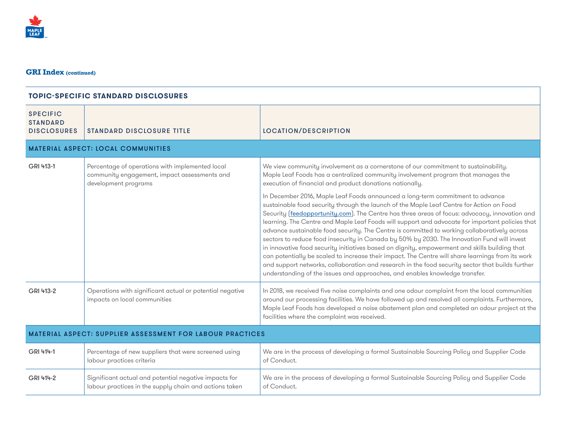| <b>SPECIFIC</b><br><b>STANDARD</b><br><b>DISCLOSURES</b>         | <b>STANDARD DISCLOSURE TITLE</b>                                                                                        | LOCATION/DESCRIPTION                                                                                                                                                                                                                                                                                                                                                                                                                                                                                                                                                                                                                                                                                                                                                                                                                                                                                                                                                    |
|------------------------------------------------------------------|-------------------------------------------------------------------------------------------------------------------------|-------------------------------------------------------------------------------------------------------------------------------------------------------------------------------------------------------------------------------------------------------------------------------------------------------------------------------------------------------------------------------------------------------------------------------------------------------------------------------------------------------------------------------------------------------------------------------------------------------------------------------------------------------------------------------------------------------------------------------------------------------------------------------------------------------------------------------------------------------------------------------------------------------------------------------------------------------------------------|
|                                                                  | <b>MATERIAL ASPECT: LOCAL COMMUNITIES</b>                                                                               |                                                                                                                                                                                                                                                                                                                                                                                                                                                                                                                                                                                                                                                                                                                                                                                                                                                                                                                                                                         |
| GRI 413-1                                                        | Percentage of operations with implemented local<br>community engagement, impact assessments and<br>development programs | We view community involvement as a cornerstone of our commitment to sustainability.<br>Maple Leaf Foods has a centralized community involvement program that manages the<br>execution of financial and product donations nationally.                                                                                                                                                                                                                                                                                                                                                                                                                                                                                                                                                                                                                                                                                                                                    |
|                                                                  |                                                                                                                         | In December 2016, Maple Leaf Foods announced a long-term commitment to advance<br>sustainable food security through the launch of the Maple Leaf Centre for Action on Food<br>Security (feedopportunity.com). The Centre has three areas of focus: advocacy, innovation and<br>learning. The Centre and Maple Leaf Foods will support and advocate for important policies that<br>advance sustainable food security. The Centre is committed to working collaboratively across<br>sectors to reduce food insecurity in Canada by 50% by 2030. The Innovation Fund will invest<br>in innovative food security initiatives based on dignity, empowerment and skills building that<br>can potentially be scaled to increase their impact. The Centre will share learnings from its work<br>and support networks, collaboration and research in the food security sector that builds further<br>understanding of the issues and approaches, and enables knowledge transfer. |
| GRI 413-2                                                        | Operations with significant actual or potential negative<br>impacts on local communities                                | In 2018, we received five noise complaints and one odour complaint from the local communities<br>around our processing facilities. We have followed up and resolved all complaints. Furthermore,<br>Maple Leaf Foods has developed a noise abatement plan and completed an odour project at the<br>facilities where the complaint was received.                                                                                                                                                                                                                                                                                                                                                                                                                                                                                                                                                                                                                         |
| <b>MATERIAL ASPECT: SUPPLIER ASSESSMENT FOR LABOUR PRACTICES</b> |                                                                                                                         |                                                                                                                                                                                                                                                                                                                                                                                                                                                                                                                                                                                                                                                                                                                                                                                                                                                                                                                                                                         |
| GRI 414-1                                                        | Percentage of new suppliers that were screened using<br>labour practices criteria                                       | We are in the process of developing a formal Sustainable Sourcing Policy and Supplier Code<br>of Conduct.                                                                                                                                                                                                                                                                                                                                                                                                                                                                                                                                                                                                                                                                                                                                                                                                                                                               |
| GRI 414-2                                                        | Significant actual and potential negative impacts for<br>labour practices in the supply chain and actions taken         | We are in the process of developing a formal Sustainable Sourcing Policy and Supplier Code<br>of Conduct.                                                                                                                                                                                                                                                                                                                                                                                                                                                                                                                                                                                                                                                                                                                                                                                                                                                               |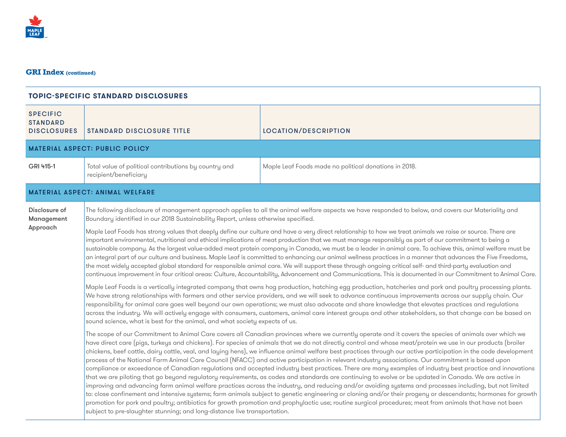| <b>TOPIC-SPECIFIC STANDARD DISCLOSURES</b>               |                                                                                                                                                                                                                                                                                                                                                                                                                                                                                                                                                                                                                                                                                                                                                                                                                                                                                                                                                                                                                                                                                                                                                                                                                                                                                                                                                                                                                                                                                                                                                                                                                                                                                                                                                                                                                                                                                                                                                                                                                                                                                                                                                                                                                                                                                                                                                                                                                                                                                                                                                                                                                                                                                                                                                                                                                                                                                                                                                                                                                                                                                                                                                                                                                                                                                                              |                                                       |
|----------------------------------------------------------|--------------------------------------------------------------------------------------------------------------------------------------------------------------------------------------------------------------------------------------------------------------------------------------------------------------------------------------------------------------------------------------------------------------------------------------------------------------------------------------------------------------------------------------------------------------------------------------------------------------------------------------------------------------------------------------------------------------------------------------------------------------------------------------------------------------------------------------------------------------------------------------------------------------------------------------------------------------------------------------------------------------------------------------------------------------------------------------------------------------------------------------------------------------------------------------------------------------------------------------------------------------------------------------------------------------------------------------------------------------------------------------------------------------------------------------------------------------------------------------------------------------------------------------------------------------------------------------------------------------------------------------------------------------------------------------------------------------------------------------------------------------------------------------------------------------------------------------------------------------------------------------------------------------------------------------------------------------------------------------------------------------------------------------------------------------------------------------------------------------------------------------------------------------------------------------------------------------------------------------------------------------------------------------------------------------------------------------------------------------------------------------------------------------------------------------------------------------------------------------------------------------------------------------------------------------------------------------------------------------------------------------------------------------------------------------------------------------------------------------------------------------------------------------------------------------------------------------------------------------------------------------------------------------------------------------------------------------------------------------------------------------------------------------------------------------------------------------------------------------------------------------------------------------------------------------------------------------------------------------------------------------------------------------------------------------|-------------------------------------------------------|
| <b>SPECIFIC</b><br><b>STANDARD</b><br><b>DISCLOSURES</b> | <b>STANDARD DISCLOSURE TITLE</b>                                                                                                                                                                                                                                                                                                                                                                                                                                                                                                                                                                                                                                                                                                                                                                                                                                                                                                                                                                                                                                                                                                                                                                                                                                                                                                                                                                                                                                                                                                                                                                                                                                                                                                                                                                                                                                                                                                                                                                                                                                                                                                                                                                                                                                                                                                                                                                                                                                                                                                                                                                                                                                                                                                                                                                                                                                                                                                                                                                                                                                                                                                                                                                                                                                                                             | LOCATION/DESCRIPTION                                  |
|                                                          | <b>MATERIAL ASPECT: PUBLIC POLICY</b>                                                                                                                                                                                                                                                                                                                                                                                                                                                                                                                                                                                                                                                                                                                                                                                                                                                                                                                                                                                                                                                                                                                                                                                                                                                                                                                                                                                                                                                                                                                                                                                                                                                                                                                                                                                                                                                                                                                                                                                                                                                                                                                                                                                                                                                                                                                                                                                                                                                                                                                                                                                                                                                                                                                                                                                                                                                                                                                                                                                                                                                                                                                                                                                                                                                                        |                                                       |
| GRI 415-1                                                | Total value of political contributions by country and<br>recipient/beneficiary                                                                                                                                                                                                                                                                                                                                                                                                                                                                                                                                                                                                                                                                                                                                                                                                                                                                                                                                                                                                                                                                                                                                                                                                                                                                                                                                                                                                                                                                                                                                                                                                                                                                                                                                                                                                                                                                                                                                                                                                                                                                                                                                                                                                                                                                                                                                                                                                                                                                                                                                                                                                                                                                                                                                                                                                                                                                                                                                                                                                                                                                                                                                                                                                                               | Maple Leaf Foods made no political donations in 2018. |
|                                                          |                                                                                                                                                                                                                                                                                                                                                                                                                                                                                                                                                                                                                                                                                                                                                                                                                                                                                                                                                                                                                                                                                                                                                                                                                                                                                                                                                                                                                                                                                                                                                                                                                                                                                                                                                                                                                                                                                                                                                                                                                                                                                                                                                                                                                                                                                                                                                                                                                                                                                                                                                                                                                                                                                                                                                                                                                                                                                                                                                                                                                                                                                                                                                                                                                                                                                                              |                                                       |
| Disclosure of<br>Management<br>Approach                  | <b>MATERIAL ASPECT: ANIMAL WELFARE</b><br>The following disclosure of management approach applies to all the animal welfare aspects we have responded to below, and covers our Materiality and<br>Boundary identified in our 2018 Sustainability Report, unless otherwise specified.<br>Maple Leaf Foods has strong values that deeply define our culture and have a very direct relationship to how we treat animals we raise or source. There are<br>important environmental, nutritional and ethical implications of meat production that we must manage responsibly as part of our commitment to being a<br>sustainable company. As the largest value-added meat protein company in Canada, we must be a leader in animal care. To achieve this, animal welfare must be<br>an integral part of our culture and business. Maple Leaf is committed to enhancing our animal wellness practices in a manner that advances the Five Freedoms,<br>the most widely accepted global standard for responsible animal care. We will support these through ongoing critical self- and third-party evaluation and<br>continuous improvement in four critical areas: Culture, Accountability, Advancement and Communications. This is documented in our Commitment to Animal Care.<br>Maple Leaf Foods is a vertically integrated company that owns hog production, hatching egg production, hatcheries and pork and poultry processing plants.<br>We have strong relationships with farmers and other service providers, and we will seek to advance continuous improvements across our supply chain. Our<br>responsibility for animal care goes well beyond our own operations; we must also advocate and share knowledge that elevates practices and regulations<br>across the industry. We will actively engage with consumers, customers, animal care interest groups and other stakeholders, so that change can be based on<br>sound science, what is best for the animal, and what society expects of us.<br>The scope of our Commitment to Animal Care covers all Canadian provinces where we currently operate and it covers the species of animals over which we<br>have direct care (pigs, turkeys and chickens). For species of animals that we do not directly control and whose meat/protein we use in our products (broiler<br>chickens, beef cattle, dairy cattle, veal, and laying hens), we influence animal welfare best practices through our active participation in the code development<br>process of the National Farm Animal Care Council (NFACC) and active participation in relevant industry associations. Our commitment is based upon<br>compliance or exceedance of Canadian regulations and accepted industry best practices. There are many examples of industry best practice and innovations<br>that we are piloting that go beyond regulatory requirements, as codes and standards are continuing to evolve or be updated in Canada. We are active in<br>improving and advancing farm animal welfare practices across the industry, and reducing and/or avoiding systems and processes including, but not limited<br>to: close confinement and intensive systems; farm animals subject to genetic engineering or cloning and/or their progeny or descendants; hormones for growth |                                                       |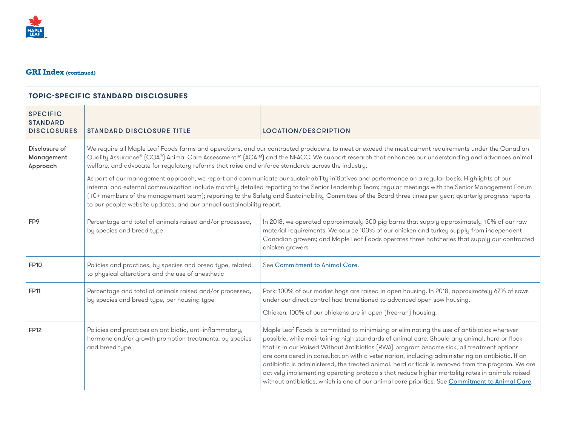

| <b>SPECIFIC</b><br><b>STANDARD</b><br><b>DISCLOSURES</b> | <b>STANDARD DISCLOSURE TITLE</b>                                                                                                     | <b>LOCATION/DESCRIPTION</b>                                                                                                                                                                                                                                                                                                                                                                                                                                                                                                                                                                                                                                                                           |
|----------------------------------------------------------|--------------------------------------------------------------------------------------------------------------------------------------|-------------------------------------------------------------------------------------------------------------------------------------------------------------------------------------------------------------------------------------------------------------------------------------------------------------------------------------------------------------------------------------------------------------------------------------------------------------------------------------------------------------------------------------------------------------------------------------------------------------------------------------------------------------------------------------------------------|
| Disclosure of<br>Management<br>Approach                  | welfare, and advocate for regulatory reforms that raise and enforce standards across the industry.                                   | We require all Maple Leaf Foods farms and operations, and our contracted producers, to meet or exceed the most current requirements under the Canadian<br>Quality Assurance® (CQA®) Animal Care Assessment™ (ACA™) and the NFACC. We support research that enhances our understanding and advances animal                                                                                                                                                                                                                                                                                                                                                                                             |
|                                                          | to our people; website updates; and our annual sustainability report.                                                                | As part of our management approach, we report and communicate our sustainability initiatives and performance on a regular basis. Highlights of our<br>internal and external communication include monthly detailed reporting to the Senior Leadership Team; regular meetings with the Senior Management Forum<br>(40+ members of the management team); reporting to the Safety and Sustainability Committee of the Board three times per year; quarterly progress reports                                                                                                                                                                                                                             |
| FP9                                                      | Percentage and total of animals raised and/or processed,<br>by species and breed type                                                | In 2018, we operated approximately 300 pig barns that supply approximately 40% of our raw<br>material requirements. We source 100% of our chicken and turkey supply from independent<br>Canadian growers; and Maple Leaf Foods operates three hatcheries that supply our contracted<br>chicken growers.                                                                                                                                                                                                                                                                                                                                                                                               |
| <b>FP10</b>                                              | Policies and practices, by species and breed type, related<br>to physical alterations and the use of anesthetic                      | See Commitment to Animal Care.                                                                                                                                                                                                                                                                                                                                                                                                                                                                                                                                                                                                                                                                        |
| <b>FP11</b>                                              | Percentage and total of animals raised and/or processed,<br>by species and breed type, per housing type                              | Pork: 100% of our market hogs are raised in open housing. In 2018, approximately 67% of sows<br>under our direct control had transitioned to advanced open sow housing.<br>Chicken: 100% of our chickens are in open (free-run) housing.                                                                                                                                                                                                                                                                                                                                                                                                                                                              |
| <b>FP12</b>                                              | Policies and practices on antibiotic, anti-inflammatory,<br>hormone and/or growth promotion treatments, by species<br>and breed type | Maple Leaf Foods is committed to minimizing or eliminating the use of antibiotics wherever<br>possible, while maintaining high standards of animal care. Should any animal, herd or flock<br>that is in our Raised Without Antibiotics (RWA) program become sick, all treatment options<br>are considered in consultation with a veterinarian, including administering an antibiotic. If an<br>antibiotic is administered, the treated animal, herd or flock is removed from the program. We are<br>actively implementing operating protocols that reduce higher mortality rates in animals raised<br>without antibiotics, which is one of our animal care priorities. See Commitment to Animal Care. |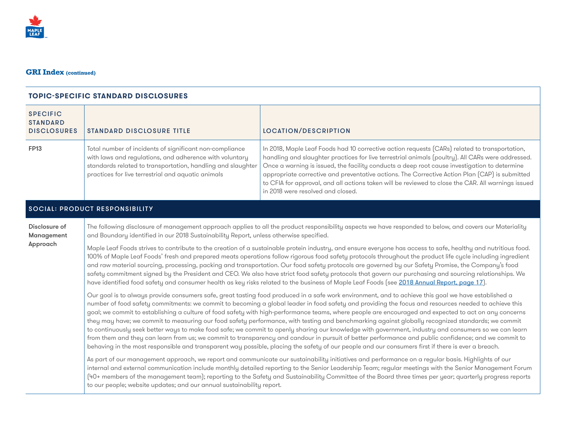

| <b>SPECIFIC</b><br><b>STANDARD</b><br><b>DISCLOSURES</b> | <b>STANDARD DISCLOSURE TITLE</b>                                                                                                                                                                                                                                                                                                                                                                                                                                                                                                                                                                                                                                                                                                                                                                                                                                                                                                                                                                                                                                                                  | <b>LOCATION/DESCRIPTION</b>                                                                                                                                                                                                                                                                                                                                                                                                                                                                                                                     |  |
|----------------------------------------------------------|---------------------------------------------------------------------------------------------------------------------------------------------------------------------------------------------------------------------------------------------------------------------------------------------------------------------------------------------------------------------------------------------------------------------------------------------------------------------------------------------------------------------------------------------------------------------------------------------------------------------------------------------------------------------------------------------------------------------------------------------------------------------------------------------------------------------------------------------------------------------------------------------------------------------------------------------------------------------------------------------------------------------------------------------------------------------------------------------------|-------------------------------------------------------------------------------------------------------------------------------------------------------------------------------------------------------------------------------------------------------------------------------------------------------------------------------------------------------------------------------------------------------------------------------------------------------------------------------------------------------------------------------------------------|--|
| <b>FP13</b>                                              | Total number of incidents of significant non-compliance<br>with laws and regulations, and adherence with voluntary<br>standards related to transportation, handling and slaughter<br>practices for live terrestrial and aquatic animals                                                                                                                                                                                                                                                                                                                                                                                                                                                                                                                                                                                                                                                                                                                                                                                                                                                           | In 2018, Maple Leaf Foods had 10 corrective action requests (CARs) related to transportation,<br>handling and slaughter practices for live terrestrial animals (poultry). All CARs were addressed.<br>Once a warning is issued, the facility conducts a deep root cause investigation to determine<br>appropriate corrective and preventative actions. The Corrective Action Plan (CAP) is submitted<br>to CFIA for approval, and all actions taken will be reviewed to close the CAR. All warnings issued<br>in 2018 were resolved and closed. |  |
|                                                          | <b>SOCIAL: PRODUCT RESPONSIBILITY</b>                                                                                                                                                                                                                                                                                                                                                                                                                                                                                                                                                                                                                                                                                                                                                                                                                                                                                                                                                                                                                                                             |                                                                                                                                                                                                                                                                                                                                                                                                                                                                                                                                                 |  |
| Disclosure of<br>Management                              | The following disclosure of management approach applies to all the product responsibility aspects we have responded to below, and covers our Materiality<br>and Boundary identified in our 2018 Sustainability Report, unless otherwise specified.                                                                                                                                                                                                                                                                                                                                                                                                                                                                                                                                                                                                                                                                                                                                                                                                                                                |                                                                                                                                                                                                                                                                                                                                                                                                                                                                                                                                                 |  |
| Approach                                                 | Maple Leaf Foods strives to contribute to the creation of a sustainable protein industry, and ensure everyone has access to safe, healthy and nutritious food.<br>100% of Maple Leaf Foods' fresh and prepared meats operations follow rigorous food safety protocols throughout the product life cycle including ingredient<br>and raw material sourcing, processing, packing and transportation. Our food safety protocols are governed by our Safety Promise, the Company's food<br>safety commitment signed by the President and CEO. We also have strict food safety protocols that govern our purchasing and sourcing relationships. We<br>have identified food safety and consumer health as key risks related to the business of Maple Leaf Foods (see 2018 Annual Report, page 17).                                                                                                                                                                                                                                                                                                      |                                                                                                                                                                                                                                                                                                                                                                                                                                                                                                                                                 |  |
|                                                          | Our goal is to always provide consumers safe, great tasting food produced in a safe work environment, and to achieve this goal we have established a<br>number of food safety commitments: we commit to becoming a global leader in food safety and providing the focus and resources needed to achieve this<br>goal; we commit to establishing a culture of food safety with high-performance teams, where people are encouraged and expected to act on any concerns<br>they may have; we commit to measuring our food safety performance, with testing and benchmarking against globally recognized standards; we commit<br>to continuously seek better ways to make food safe; we commit to openly sharing our knowledge with government, industry and consumers so we can learn<br>from them and they can learn from us; we commit to transparency and candour in pursuit of better performance and public confidence; and we commit to<br>behaving in the most responsible and transparent way possible, placing the safety of our people and our consumers first if there is ever a breach. |                                                                                                                                                                                                                                                                                                                                                                                                                                                                                                                                                 |  |
|                                                          | As part of our management approach, we report and communicate our sustainability initiatives and performance on a regular basis. Highlights of our<br>internal and external communication include monthly detailed reporting to the Senior Leadership Team; regular meetings with the Senior Management Forum<br>(40+ members of the management team); reporting to the Safety and Sustainability Committee of the Board three times per year; quarterly progress reports<br>to our people; website updates; and our annual sustainability report.                                                                                                                                                                                                                                                                                                                                                                                                                                                                                                                                                |                                                                                                                                                                                                                                                                                                                                                                                                                                                                                                                                                 |  |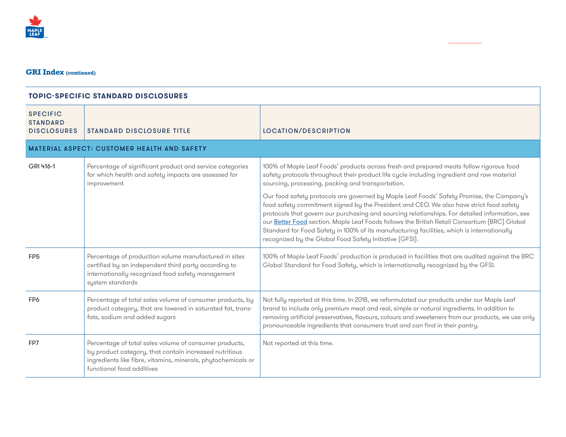

| <b>SPECIFIC</b><br><b>STANDARD</b><br><b>DISCLOSURES</b> | <b>STANDARD DISCLOSURE TITLE</b>                                                                                                                                                                               | <b>LOCATION/DESCRIPTION</b>                                                                                                                                                                                                                                                                                                                                                                                                                                                                                                                     |  |  |
|----------------------------------------------------------|----------------------------------------------------------------------------------------------------------------------------------------------------------------------------------------------------------------|-------------------------------------------------------------------------------------------------------------------------------------------------------------------------------------------------------------------------------------------------------------------------------------------------------------------------------------------------------------------------------------------------------------------------------------------------------------------------------------------------------------------------------------------------|--|--|
| <b>MATERIAL ASPECT: CUSTOMER HEALTH AND SAFETY</b>       |                                                                                                                                                                                                                |                                                                                                                                                                                                                                                                                                                                                                                                                                                                                                                                                 |  |  |
| GRI 416-1                                                | Percentage of significant product and service categories<br>for which health and safety impacts are assessed for<br>improvement                                                                                | 100% of Maple Leaf Foods' products across fresh and prepared meats follow rigorous food<br>safety protocols throughout their product life cycle including ingredient and raw material<br>sourcing, processing, packing and transportation.                                                                                                                                                                                                                                                                                                      |  |  |
|                                                          |                                                                                                                                                                                                                | Our food safety protocols are governed by Maple Leaf Foods' Safety Promise, the Company's<br>food safety commitment signed by the President and CEO. We also have strict food safety<br>protocols that govern our purchasing and sourcing relationships. For detailed information, see<br>our Better Food section. Maple Leaf Foods follows the British Retail Consortium (BRC) Global<br>Standard for Food Safety in 100% of its manufacturing facilities, which is internationally<br>recognized by the Global Food Safety Initiative [GFSI]. |  |  |
| FP <sub>5</sub>                                          | Percentage of production volume manufactured in sites<br>certified by an independent third party according to<br>internationally recognized food safety management<br>system standards                         | 100% of Maple Leaf Foods' production is produced in facilities that are audited against the BRC<br>Global Standard for Food Safety, which is internationally recognized by the GFSI.                                                                                                                                                                                                                                                                                                                                                            |  |  |
| FP <sub>6</sub>                                          | Percentage of total sales volume of consumer products, by<br>product category, that are lowered in saturated fat, trans-<br>fats, sodium and added sugars                                                      | Not fully reported at this time. In 2018, we reformulated our products under our Maple Leaf<br>brand to include only premium meat and real, simple or natural ingredients. In addition to<br>removing artificial preservatives, flavours, colours and sweeteners from our products, we use only<br>pronounceable ingredients that consumers trust and can find in their pantry.                                                                                                                                                                 |  |  |
| FP7                                                      | Percentage of total sales volume of consumer products,<br>by product category, that contain increased nutritious<br>ingredients like fibre, vitamins, minerals, phytochemicals or<br>functional food additives | Not reported at this time.                                                                                                                                                                                                                                                                                                                                                                                                                                                                                                                      |  |  |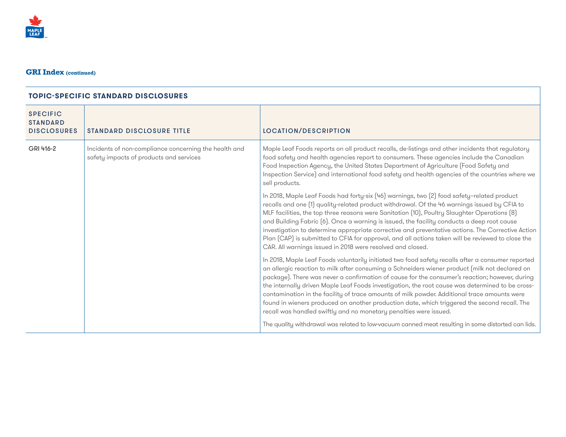

| <b>SPECIFIC</b><br><b>STANDARD</b><br><b>DISCLOSURES</b> | <b>STANDARD DISCLOSURE TITLE</b>                                                                 | LOCATION/DESCRIPTION                                                                                                                                                                                                                                                                                                                                                                                                                                                                                                                                                                                                                                                           |
|----------------------------------------------------------|--------------------------------------------------------------------------------------------------|--------------------------------------------------------------------------------------------------------------------------------------------------------------------------------------------------------------------------------------------------------------------------------------------------------------------------------------------------------------------------------------------------------------------------------------------------------------------------------------------------------------------------------------------------------------------------------------------------------------------------------------------------------------------------------|
| GRI 416-2                                                | Incidents of non-compliance concerning the health and<br>safety impacts of products and services | Maple Leaf Foods reports on all product recalls, de-listings and other incidents that regulatory<br>food safety and health agencies report to consumers. These agencies include the Canadian<br>Food Inspection Agency, the United States Department of Agriculture (Food Safety and<br>Inspection Service) and international food safety and health agencies of the countries where we<br>sell products.                                                                                                                                                                                                                                                                      |
|                                                          |                                                                                                  | In 2018, Maple Leaf Foods had forty-six (46) warnings, two (2) food safety-related product<br>recalls and one [1] quality-related product withdrawal. Of the 46 warnings issued by CFIA to<br>MLF facilities, the top three reasons were Sanitation (10), Poultry Slaughter Operations (8)<br>and Building Fabric (6). Once a warning is issued, the facility conducts a deep root cause<br>investigation to determine appropriate corrective and preventative actions. The Corrective Action<br>Plan (CAP) is submitted to CFIA for approval, and all actions taken will be reviewed to close the<br>CAR. All warnings issued in 2018 were resolved and closed.               |
|                                                          |                                                                                                  | In 2018, Maple Leaf Foods voluntarily initiated two food safety recalls after a consumer reported<br>an allergic reaction to milk after consuming a Schneiders wiener product (milk not declared on<br>package). There was never a confirmation of cause for the consumer's reaction; however, during<br>the internally driven Maple Leaf Foods investigation, the root cause was determined to be cross-<br>contamination in the facility of trace amounts of milk powder. Additional trace amounts were<br>found in wieners produced on another production date, which triggered the second recall. The<br>recall was handled swiftly and no monetary penalties were issued. |
|                                                          |                                                                                                  | The quality withdrawal was related to low-vacuum canned meat resulting in some distorted can lids.                                                                                                                                                                                                                                                                                                                                                                                                                                                                                                                                                                             |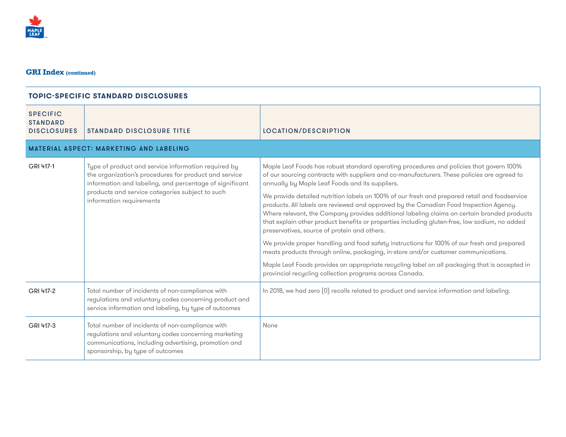

| <b>SPECIFIC</b><br><b>STANDARD</b><br><b>DISCLOSURES</b> | <b>STANDARD DISCLOSURE TITLE</b>                                                                                                                                                                                                                       | LOCATION/DESCRIPTION                                                                                                                                                                                                                                                                                                                                                                                                                                                                                                                                                                                                                                                                                                                                                                                                                                                                                                                                                                                                                 |  |  |
|----------------------------------------------------------|--------------------------------------------------------------------------------------------------------------------------------------------------------------------------------------------------------------------------------------------------------|--------------------------------------------------------------------------------------------------------------------------------------------------------------------------------------------------------------------------------------------------------------------------------------------------------------------------------------------------------------------------------------------------------------------------------------------------------------------------------------------------------------------------------------------------------------------------------------------------------------------------------------------------------------------------------------------------------------------------------------------------------------------------------------------------------------------------------------------------------------------------------------------------------------------------------------------------------------------------------------------------------------------------------------|--|--|
| <b>MATERIAL ASPECT: MARKETING AND LABELING</b>           |                                                                                                                                                                                                                                                        |                                                                                                                                                                                                                                                                                                                                                                                                                                                                                                                                                                                                                                                                                                                                                                                                                                                                                                                                                                                                                                      |  |  |
| GRI 417-1                                                | Type of product and service information required by<br>the organization's procedures for product and service<br>information and labeling, and percentage of significant<br>products and service categories subject to such<br>information requirements | Maple Leaf Foods has robust standard operating procedures and policies that govern 100%<br>of our sourcing contracts with suppliers and co-manufacturers. These policies are agreed to<br>annually by Maple Leaf Foods and its suppliers.<br>We provide detailed nutrition labels on 100% of our fresh and prepared retail and foodservice<br>products. All labels are reviewed and approved by the Canadian Food Inspection Agency.<br>Where relevant, the Company provides additional labeling claims on certain branded products<br>that explain other product benefits or properties including gluten-free, low sodium, no added<br>preservatives, source of protein and others.<br>We provide proper handling and food safety instructions for 100% of our fresh and prepared<br>meats products through online, packaging, in-store and/or customer communications.<br>Maple Leaf Foods provides an appropriate recycling label on all packaging that is accepted in<br>provincial recycling collection programs across Canada. |  |  |
| GRI 417-2                                                | Total number of incidents of non-compliance with<br>regulations and voluntary codes concerning product and<br>service information and labeling, by type of outcomes                                                                                    | In 2018, we had zero [0] recalls related to product and service information and labeling.                                                                                                                                                                                                                                                                                                                                                                                                                                                                                                                                                                                                                                                                                                                                                                                                                                                                                                                                            |  |  |
| GRI 417-3                                                | Total number of incidents of non-compliance with<br>regulations and voluntary codes concerning marketing<br>communications, including advertising, promotion and<br>sponsorship, by type of outcomes                                                   | None                                                                                                                                                                                                                                                                                                                                                                                                                                                                                                                                                                                                                                                                                                                                                                                                                                                                                                                                                                                                                                 |  |  |